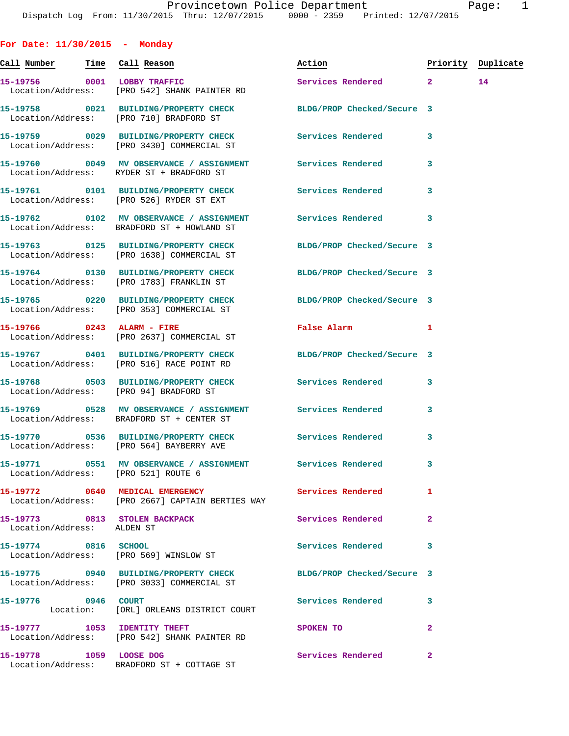**For Date: 11/30/2015 - Monday Call Number Time Call Reason Action Priority Duplicate 15-19756 0001 LOBBY TRAFFIC Services Rendered 2 14**  Location/Address: [PRO 542] SHANK PAINTER RD **15-19758 0021 BUILDING/PROPERTY CHECK BLDG/PROP Checked/Secure 3**  Location/Address: [PRO 710] BRADFORD ST **15-19759 0029 BUILDING/PROPERTY CHECK Services Rendered 3**  Location/Address: [PRO 3430] COMMERCIAL ST **15-19760 0049 MV OBSERVANCE / ASSIGNMENT Services Rendered 3**  Location/Address: RYDER ST + BRADFORD ST **15-19761 0101 BUILDING/PROPERTY CHECK Services Rendered 3**  Location/Address: [PRO 526] RYDER ST EXT **15-19762 0102 MV OBSERVANCE / ASSIGNMENT Services Rendered 3**  Location/Address: BRADFORD ST + HOWLAND ST **15-19763 0125 BUILDING/PROPERTY CHECK BLDG/PROP Checked/Secure 3**  Location/Address: [PRO 1638] COMMERCIAL ST **15-19764 0130 BUILDING/PROPERTY CHECK BLDG/PROP Checked/Secure 3**  Location/Address: [PRO 1783] FRANKLIN ST **15-19765 0220 BUILDING/PROPERTY CHECK BLDG/PROP Checked/Secure 3**  Location/Address: [PRO 353] COMMERCIAL ST **15-19766 0243 ALARM - FIRE False Alarm 1**  Location/Address: [PRO 2637] COMMERCIAL ST **15-19767 0401 BUILDING/PROPERTY CHECK BLDG/PROP Checked/Secure 3**  Location/Address: [PRO 516] RACE POINT RD **15-19768 0503 BUILDING/PROPERTY CHECK Services Rendered 3**  Location/Address: [PRO 94] BRADFORD ST **15-19769 0528 MV OBSERVANCE / ASSIGNMENT Services Rendered 3**  Location/Address: BRADFORD ST + CENTER ST **15-19770 0536 BUILDING/PROPERTY CHECK Services Rendered 3**  Location/Address: [PRO 564] BAYBERRY AVE **15-19771 0551 MV OBSERVANCE / ASSIGNMENT Services Rendered 3**  Location/Address: [PRO 521] ROUTE 6 **15-19772 0640 MEDICAL EMERGENCY Services Rendered 1**  Location/Address: [PRO 2667] CAPTAIN BERTIES WAY **15-19773 0813 STOLEN BACKPACK Services Rendered 2**  Location/Address: ALDEN ST **15-19774 0816 SCHOOL Services Rendered 3**  Location/Address: [PRO 569] WINSLOW ST **15-19775 0940 BUILDING/PROPERTY CHECK BLDG/PROP Checked/Secure 3**  Location/Address: [PRO 3033] COMMERCIAL ST **15-19776 0946 COURT Services Rendered 3**  Location: [ORL] ORLEANS DISTRICT COURT

**15-19777** 1053 IDENTITY THEFT SPOKEN TO 2 Location/Address: [PRO 542] SHANK PAINTER RD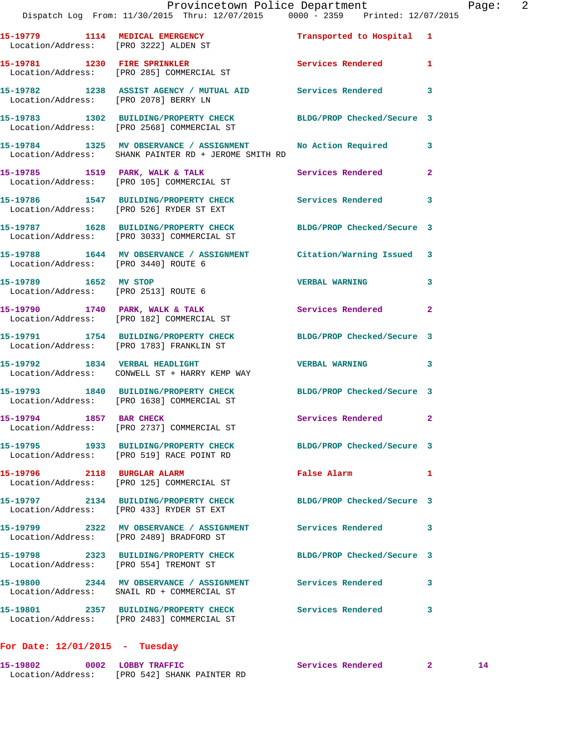|                                      | Dispatch Log From: 11/30/2015 Thru: 12/07/2015 0000 - 2359 Printed: 12/07/2015                                 | Provincetown Police Department |              | Page: 2 |  |
|--------------------------------------|----------------------------------------------------------------------------------------------------------------|--------------------------------|--------------|---------|--|
|                                      | 15-19779 1114 MEDICAL EMERGENCY Transported to Hospital 1<br>Location/Address: [PRO 3222] ALDEN ST             |                                |              |         |  |
|                                      | 15-19781 1230 FIRE SPRINKLER<br>Location/Address: [PRO 285] COMMERCIAL ST                                      | Services Rendered 1            |              |         |  |
|                                      | 15-19782 1238 ASSIST AGENCY / MUTUAL AID Services Rendered<br>Location/Address: [PRO 2078] BERRY LN            |                                | 3            |         |  |
|                                      | 15-19783 1302 BUILDING/PROPERTY CHECK BLDG/PROP Checked/Secure 3<br>Location/Address: [PRO 2568] COMMERCIAL ST |                                |              |         |  |
|                                      | 15-19784 1325 MV OBSERVANCE / ASSIGNMENT<br>Location/Address: SHANK PAINTER RD + JEROME SMITH RD               | No Action Required 3           |              |         |  |
|                                      | 15-19785 1519 PARK, WALK & TALK<br>Location/Address: [PRO 105] COMMERCIAL ST                                   | Services Rendered              | $\mathbf{2}$ |         |  |
|                                      | 15-19786 1547 BUILDING/PROPERTY CHECK Services Rendered<br>Location/Address: [PRO 526] RYDER ST EXT            |                                | $\mathbf{3}$ |         |  |
|                                      | 15-19787 1628 BUILDING/PROPERTY CHECK BLDG/PROP Checked/Secure 3<br>Location/Address: [PRO 3033] COMMERCIAL ST |                                |              |         |  |
| Location/Address: [PRO 3440] ROUTE 6 | 15-19788 1644 MV OBSERVANCE / ASSIGNMENT Citation/Warning Issued 3                                             |                                |              |         |  |
|                                      | 15-19789 1652 MV STOP<br>Location/Address: [PRO 2513] ROUTE 6                                                  | <b>VERBAL WARNING</b>          | 3            |         |  |
|                                      | 15-19790 1740 PARK, WALK & TALK Services Rendered 2<br>Location/Address: [PRO 182] COMMERCIAL ST               |                                |              |         |  |
|                                      | 15-19791 1754 BUILDING/PROPERTY CHECK BLDG/PROP Checked/Secure 3<br>Location/Address: [PRO 1783] FRANKLIN ST   |                                |              |         |  |
|                                      | 15-19792 1834 VERBAL HEADLIGHT 1999 VERBAL WARNING 3<br>Location/Address: CONWELL ST + HARRY KEMP WAY          |                                |              |         |  |
|                                      | 15-19793 1840 BUILDING/PROPERTY CHECK BLDG/PROP Checked/Secure 3<br>Location/Address: [PRO 1638] COMMERCIAL ST |                                |              |         |  |
|                                      | 15-19794 1857 BAR CHECK<br>Location/Address: [PRO 2737] COMMERCIAL ST                                          | Services Rendered 2            |              |         |  |
|                                      | 15-19795 1933 BUILDING/PROPERTY CHECK BLDG/PROP Checked/Secure 3<br>Location/Address: [PRO 519] RACE POINT RD  |                                |              |         |  |
|                                      | 15-19796 2118 BURGLAR ALARM<br>Location/Address: [PRO 125] COMMERCIAL ST                                       | False Alarm                    | $\mathbf{1}$ |         |  |
|                                      | 15-19797 2134 BUILDING/PROPERTY CHECK BLDG/PROP Checked/Secure 3<br>Location/Address: [PRO 433] RYDER ST EXT   |                                |              |         |  |
|                                      | 15-19799 2322 MV OBSERVANCE / ASSIGNMENT Services Rendered 3<br>Location/Address: [PRO 2489] BRADFORD ST       |                                |              |         |  |
|                                      | 15-19798 2323 BUILDING/PROPERTY CHECK BLDG/PROP Checked/Secure 3<br>Location/Address: [PRO 554] TREMONT ST     |                                |              |         |  |
|                                      | 15-19800 2344 MV OBSERVANCE / ASSIGNMENT Services Rendered 3<br>Location/Address: SNAIL RD + COMMERCIAL ST     |                                |              |         |  |
|                                      | 15-19801 2357 BUILDING/PROPERTY CHECK Services Rendered<br>Location/Address: [PRO 2483] COMMERCIAL ST          |                                | 3            |         |  |

## **For Date: 12/01/2015 - Tuesday**

| 15-19802          | 0002 LOBBY TRAFFIC         | Services Rendered |  |
|-------------------|----------------------------|-------------------|--|
| Location/Address: | [PRO 542] SHANK PAINTER RD |                   |  |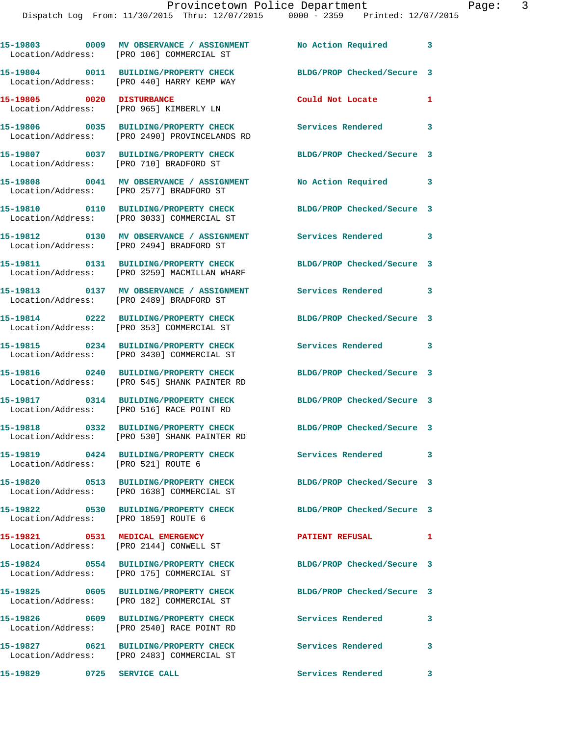|                                      | 15-19803 0009 MV OBSERVANCE / ASSIGNMENT No Action Required 3<br>Location/Address: [PRO 106] COMMERCIAL ST |                            |              |
|--------------------------------------|------------------------------------------------------------------------------------------------------------|----------------------------|--------------|
|                                      | 15-19804 0011 BUILDING/PROPERTY CHECK<br>Location/Address: [PRO 440] HARRY KEMP WAY                        | BLDG/PROP Checked/Secure 3 |              |
| 15-19805 0020 DISTURBANCE            | Location/Address: [PRO 965] KIMBERLY LN                                                                    | Could Not Locate           | 1            |
|                                      | 15-19806 0035 BUILDING/PROPERTY CHECK<br>Location/Address: [PRO 2490] PROVINCELANDS RD                     | <b>Services Rendered</b>   | $\mathbf{3}$ |
|                                      | 15-19807 0037 BUILDING/PROPERTY CHECK<br>Location/Address: [PRO 710] BRADFORD ST                           | BLDG/PROP Checked/Secure 3 |              |
|                                      | 15-19808 0041 MV OBSERVANCE / ASSIGNMENT<br>Location/Address: [PRO 2577] BRADFORD ST                       | No Action Required         | $\mathbf{3}$ |
|                                      | 15-19810 0110 BUILDING/PROPERTY CHECK<br>Location/Address: [PRO 3033] COMMERCIAL ST                        | BLDG/PROP Checked/Secure 3 |              |
|                                      | 15-19812 0130 MV OBSERVANCE / ASSIGNMENT Services Rendered 3<br>Location/Address: [PRO 2494] BRADFORD ST   |                            |              |
|                                      | 15-19811 0131 BUILDING/PROPERTY CHECK<br>Location/Address: [PRO 3259] MACMILLAN WHARF                      | BLDG/PROP Checked/Secure 3 |              |
|                                      | 15-19813 0137 MV OBSERVANCE / ASSIGNMENT Services Rendered 3<br>Location/Address: [PRO 2489] BRADFORD ST   |                            |              |
|                                      | 15-19814 0222 BUILDING/PROPERTY CHECK<br>Location/Address: [PRO 353] COMMERCIAL ST                         | BLDG/PROP Checked/Secure 3 |              |
|                                      | 15-19815 0234 BUILDING/PROPERTY CHECK<br>Location/Address: [PRO 3430] COMMERCIAL ST                        | Services Rendered 3        |              |
|                                      | 15-19816 0240 BUILDING/PROPERTY CHECK<br>Location/Address: [PRO 545] SHANK PAINTER RD                      | BLDG/PROP Checked/Secure 3 |              |
|                                      | 15-19817 0314 BUILDING/PROPERTY CHECK<br>Location/Address: [PRO 516] RACE POINT RD                         | BLDG/PROP Checked/Secure 3 |              |
|                                      | 15-19818 0332 BUILDING/PROPERTY CHECK<br>Location/Address: [PRO 530] SHANK PAINTER RD                      | BLDG/PROP Checked/Secure 3 |              |
| Location/Address: [PRO 521] ROUTE 6  | 15-19819 0424 BUILDING/PROPERTY CHECK                                                                      | Services Rendered          | $\mathbf{3}$ |
|                                      | 15-19820 0513 BUILDING/PROPERTY CHECK<br>Location/Address: [PRO 1638] COMMERCIAL ST                        | BLDG/PROP Checked/Secure 3 |              |
| Location/Address: [PRO 1859] ROUTE 6 | 15-19822 0530 BUILDING/PROPERTY CHECK                                                                      | BLDG/PROP Checked/Secure 3 |              |
|                                      | 15-19821 0531 MEDICAL EMERGENCY<br>Location/Address: [PRO 2144] CONWELL ST                                 | <b>PATIENT REFUSAL</b>     | 1            |
|                                      | 15-19824 0554 BUILDING/PROPERTY CHECK<br>Location/Address: [PRO 175] COMMERCIAL ST                         | BLDG/PROP Checked/Secure 3 |              |
|                                      | 15-19825 0605 BUILDING/PROPERTY CHECK<br>Location/Address: [PRO 182] COMMERCIAL ST                         | BLDG/PROP Checked/Secure 3 |              |
|                                      | 15-19826 0609 BUILDING/PROPERTY CHECK<br>Location/Address: [PRO 2540] RACE POINT RD                        | Services Rendered          | $\mathbf{3}$ |
|                                      | 15-19827 0621 BUILDING/PROPERTY CHECK<br>Location/Address: [PRO 2483] COMMERCIAL ST                        | <b>Services Rendered</b>   | 3            |
| 15-19829 0725 SERVICE CALL           |                                                                                                            | Services Rendered          | $\mathbf{3}$ |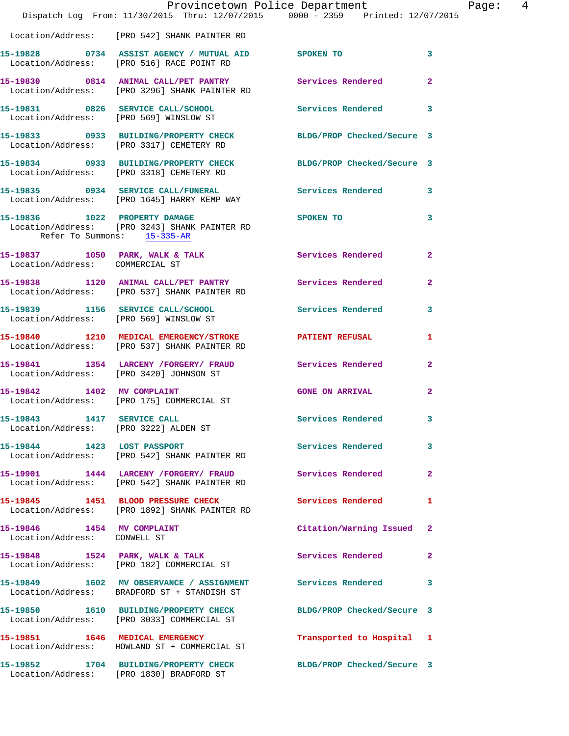|                                                            |                                                                                                                | Provincetown Police Department The Page: 4 |                         |  |
|------------------------------------------------------------|----------------------------------------------------------------------------------------------------------------|--------------------------------------------|-------------------------|--|
|                                                            | Dispatch Log From: 11/30/2015 Thru: 12/07/2015 0000 - 2359 Printed: 12/07/2015                                 |                                            |                         |  |
|                                                            | Location/Address: [PRO 542] SHANK PAINTER RD                                                                   |                                            |                         |  |
|                                                            | 15-19828 0734 ASSIST AGENCY / MUTUAL AID SPOKEN TO 3<br>Location/Address: [PRO 516] RACE POINT RD              |                                            |                         |  |
|                                                            | 15-19830 0814 ANIMAL CALL/PET PANTRY Services Rendered 2<br>Location/Address: [PRO 3296] SHANK PAINTER RD      |                                            |                         |  |
|                                                            | 15-19831 0826 SERVICE CALL/SCHOOL 5ervices Rendered 3<br>Location/Address: [PRO 569] WINSLOW ST                |                                            |                         |  |
|                                                            | 15-19833 0933 BUILDING/PROPERTY CHECK BLDG/PROP Checked/Secure 3<br>Location/Address: [PRO 3317] CEMETERY RD   |                                            |                         |  |
|                                                            | 15-19834 0933 BUILDING/PROPERTY CHECK BLDG/PROP Checked/Secure 3<br>Location/Address: [PRO 3318] CEMETERY RD   |                                            |                         |  |
|                                                            | 15-19835 0934 SERVICE CALL/FUNERAL Services Rendered 3<br>Location/Address: [PRO 1645] HARRY KEMP WAY          |                                            |                         |  |
| Refer To Summons: 15-335-AR                                | 15-19836 1022 PROPERTY DAMAGE SPOKEN TO<br>Location/Address: [PRO 3243] SHANK PAINTER RD                       |                                            | $\overline{\mathbf{3}}$ |  |
| Location/Address: COMMERCIAL ST                            | 15-19837 1050 PARK, WALK & TALK Services Rendered 2<br>Location/Address: COMMERCIAL ST                         |                                            |                         |  |
|                                                            | 15-19838 1120 ANIMAL CALL/PET PANTRY Services Rendered 2<br>Location/Address: [PRO 537] SHANK PAINTER RD       |                                            |                         |  |
|                                                            | 15-19839 1156 SERVICE CALL/SCHOOL 5ervices Rendered 3<br>Location/Address: [PRO 569] WINSLOW ST                |                                            |                         |  |
|                                                            | 15-19840 1210 MEDICAL EMERGENCY/STROKE PATIENT REFUSAL<br>Location/Address: [PRO 537] SHANK PAINTER RD         |                                            | 1                       |  |
|                                                            | 15-19841 1354 LARCENY /FORGERY / FRAUD Services Rendered 2<br>Location/Address: [PRO 3420] JOHNSON ST          |                                            |                         |  |
|                                                            | 15-19842 1402 MV COMPLAINT<br>Location/Address: [PRO 175] COMMERCIAL ST                                        | GONE ON ARRIVAL 2                          |                         |  |
| Location/Address: [PRO 3222] ALDEN ST                      | 15-19843 1417 SERVICE CALL                                                                                     | Services Rendered                          |                         |  |
|                                                            | 15-19844 1423 LOST PASSPORT<br>Location/Address: [PRO 542] SHANK PAINTER RD                                    | Services Rendered 3                        |                         |  |
|                                                            | 15-19901 1444 LARCENY / FORGERY / FRAUD Services Rendered<br>Location/Address: [PRO 542] SHANK PAINTER RD      |                                            | $\mathbf{2}$            |  |
|                                                            | 15-19845 1451 BLOOD PRESSURE CHECK<br>Location/Address: [PRO 1892] SHANK PAINTER RD                            | <b>Services Rendered</b>                   | $\mathbf{1}$            |  |
| 15-19846 1454 MV COMPLAINT<br>Location/Address: CONWELL ST |                                                                                                                | Citation/Warning Issued 2                  |                         |  |
|                                                            | 15-19848 1524 PARK, WALK & TALK<br>Location/Address: [PRO 182] COMMERCIAL ST                                   | Services Rendered                          | $\mathbf{2}$            |  |
|                                                            | 15-19849 1602 MV OBSERVANCE / ASSIGNMENT Services Rendered 3<br>Location/Address: BRADFORD ST + STANDISH ST    |                                            |                         |  |
|                                                            | 15-19850 1610 BUILDING/PROPERTY CHECK BLDG/PROP Checked/Secure 3<br>Location/Address: [PRO 3033] COMMERCIAL ST |                                            |                         |  |
|                                                            | 15-19851 1646 MEDICAL EMERGENCY<br>Location/Address: HOWLAND ST + COMMERCIAL ST                                | Transported to Hospital 1                  |                         |  |
|                                                            | 15-19852 1704 BUILDING/PROPERTY CHECK BLDG/PROP Checked/Secure 3<br>Location/Address: [PRO 1830] BRADFORD ST   |                                            |                         |  |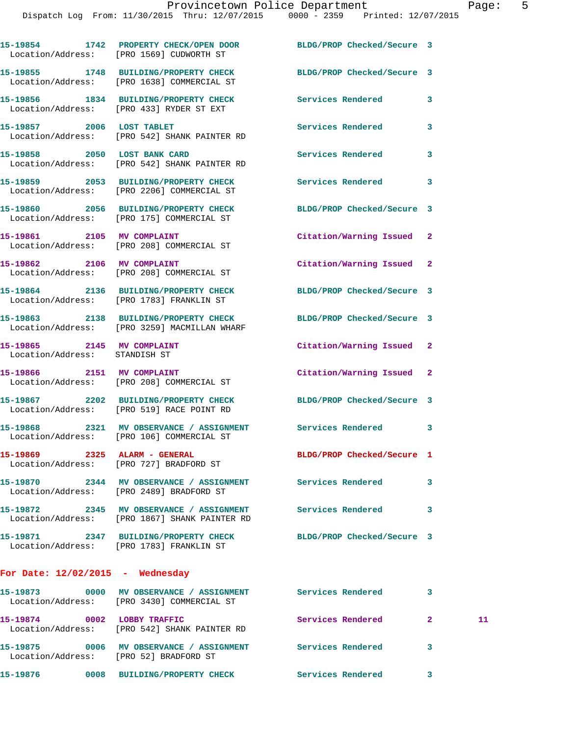|                                                             | 15-19854 1742 PROPERTY CHECK/OPEN DOOR<br>Location/Address: [PRO 1569] CUDWORTH ST              | BLDG/PROP Checked/Secure 3 |                          |
|-------------------------------------------------------------|-------------------------------------------------------------------------------------------------|----------------------------|--------------------------|
|                                                             | 15-19855 1748 BUILDING/PROPERTY CHECK<br>Location/Address: [PRO 1638] COMMERCIAL ST             | BLDG/PROP Checked/Secure 3 |                          |
|                                                             | 15-19856 1834 BUILDING/PROPERTY CHECK<br>Location/Address: [PRO 433] RYDER ST EXT               | Services Rendered          | 3                        |
| 15-19857 2006 LOST TABLET                                   | Location/Address: [PRO 542] SHANK PAINTER RD                                                    | <b>Services Rendered</b>   | 3                        |
| 15-19858 2050 LOST BANK CARD                                | Location/Address: [PRO 542] SHANK PAINTER RD                                                    | Services Rendered          | 3                        |
|                                                             | 15-19859 2053 BUILDING/PROPERTY CHECK<br>Location/Address: [PRO 2206] COMMERCIAL ST             | Services Rendered          | 3                        |
|                                                             | 15-19860 2056 BUILDING/PROPERTY CHECK<br>Location/Address: [PRO 175] COMMERCIAL ST              | BLDG/PROP Checked/Secure 3 |                          |
|                                                             | 15-19861 2105 MV COMPLAINT<br>Location/Address: [PRO 208] COMMERCIAL ST                         | Citation/Warning Issued 2  |                          |
| 15-19862 2106 MV COMPLAINT                                  | Location/Address: [PRO 208] COMMERCIAL ST                                                       | Citation/Warning Issued 2  |                          |
|                                                             | 15-19864 2136 BUILDING/PROPERTY CHECK<br>Location/Address: [PRO 1783] FRANKLIN ST               | BLDG/PROP Checked/Secure 3 |                          |
|                                                             | 15-19863 2138 BUILDING/PROPERTY CHECK<br>Location/Address: [PRO 3259] MACMILLAN WHARF           | BLDG/PROP Checked/Secure 3 |                          |
| 15-19865 2145 MV COMPLAINT<br>Location/Address: STANDISH ST |                                                                                                 | Citation/Warning Issued 2  |                          |
| 15-19866 2151 MV COMPLAINT                                  | Location/Address: [PRO 208] COMMERCIAL ST                                                       | Citation/Warning Issued 2  |                          |
|                                                             | 15-19867 2202 BUILDING/PROPERTY CHECK<br>Location/Address: [PRO 519] RACE POINT RD              | BLDG/PROP Checked/Secure 3 |                          |
|                                                             | 15-19868 2321 MV OBSERVANCE / ASSIGNMENT<br>Location/Address: [PRO 106] COMMERCIAL ST           | <b>Services Rendered</b>   | $\overline{\phantom{a}}$ |
| 15-19869 2325 ALARM - GENERAL                               | Location/Address: [PRO 727] BRADFORD ST                                                         | BLDG/PROP Checked/Secure 1 |                          |
|                                                             | 15-19870 2344 MV OBSERVANCE / ASSIGNMENT<br>Location/Address: [PRO 2489] BRADFORD ST            | <b>Services Rendered</b>   | 3                        |
|                                                             | 15-19872 2345 MV OBSERVANCE / ASSIGNMENT<br>Location/Address: [PRO 1867] SHANK PAINTER RD       | <b>Services Rendered</b>   | 3                        |
|                                                             | 15-19871 2347 BUILDING/PROPERTY CHECK<br>Location/Address: [PRO 1783] FRANKLIN ST               | BLDG/PROP Checked/Secure 3 |                          |
| For Date: $12/02/2015$ - Wednesday                          |                                                                                                 |                            |                          |
| 15-19873                                                    | 0000 MV OBSERVANCE / ASSIGNMENT Services Rendered<br>Location/Address: [PRO 3430] COMMERCIAL ST |                            | 3                        |

**15-19874 0002 LOBBY TRAFFIC Services Rendered 2 11**  Location/Address: [PRO 542] SHANK PAINTER RD **15-19875 0006 MV OBSERVANCE / ASSIGNMENT Services Rendered 3**  Location/Address: [PRO 52] BRADFORD ST **15-19876 0008 BUILDING/PROPERTY CHECK Services Rendered 3**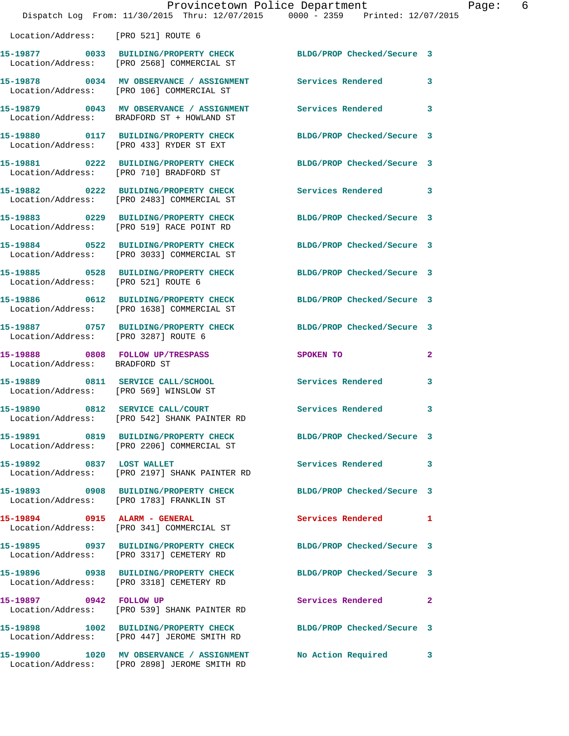|                                                                             | Provincetown Police Department<br>Dispatch Log From: 11/30/2015 Thru: 12/07/2015 0000 - 2359 Printed: 12/07/2015 |                            |                         |
|-----------------------------------------------------------------------------|------------------------------------------------------------------------------------------------------------------|----------------------------|-------------------------|
| Location/Address: [PRO 521] ROUTE 6                                         |                                                                                                                  |                            |                         |
|                                                                             | 15-19877 0033 BUILDING/PROPERTY CHECK BLDG/PROP Checked/Secure 3<br>Location/Address: [PRO 2568] COMMERCIAL ST   |                            |                         |
|                                                                             | 15-19878 0034 MV OBSERVANCE / ASSIGNMENT Services Rendered<br>Location/Address: [PRO 106] COMMERCIAL ST          |                            | $\mathbf{3}$            |
|                                                                             | 15-19879 0043 MV OBSERVANCE / ASSIGNMENT<br>Location/Address: BRADFORD ST + HOWLAND ST                           | Services Rendered          | 3                       |
|                                                                             | 15-19880 0117 BUILDING/PROPERTY CHECK<br>Location/Address: [PRO 433] RYDER ST EXT                                | BLDG/PROP Checked/Secure 3 |                         |
|                                                                             | 15-19881 0222 BUILDING/PROPERTY CHECK<br>Location/Address: [PRO 710] BRADFORD ST                                 | BLDG/PROP Checked/Secure 3 |                         |
|                                                                             | 15-19882 0222 BUILDING/PROPERTY CHECK<br>Location/Address: [PRO 2483] COMMERCIAL ST                              | Services Rendered 3        |                         |
|                                                                             | 15-19883 0229 BUILDING/PROPERTY CHECK<br>Location/Address: [PRO 519] RACE POINT RD                               | BLDG/PROP Checked/Secure 3 |                         |
|                                                                             | 15-19884 0522 BUILDING/PROPERTY CHECK<br>Location/Address: [PRO 3033] COMMERCIAL ST                              | BLDG/PROP Checked/Secure 3 |                         |
| Location/Address: [PRO 521] ROUTE 6                                         | 15-19885 0528 BUILDING/PROPERTY CHECK                                                                            | BLDG/PROP Checked/Secure 3 |                         |
|                                                                             | 15-19886 0612 BUILDING/PROPERTY CHECK<br>Location/Address: [PRO 1638] COMMERCIAL ST                              | BLDG/PROP Checked/Secure 3 |                         |
| Location/Address: [PRO 3287] ROUTE 6                                        | 15-19887 0757 BUILDING/PROPERTY CHECK                                                                            | BLDG/PROP Checked/Secure 3 |                         |
| 15-19888 0808 FOLLOW UP/TRESPASS<br>Location/Address: BRADFORD ST           |                                                                                                                  | SPOKEN TO                  | $\mathbf{2}$            |
| 15-19889 0811 SERVICE CALL/SCHOOL<br>Location/Address: [PRO 569] WINSLOW ST |                                                                                                                  | Services Rendered          | $\overline{\mathbf{3}}$ |
| 15-19890 0812 SERVICE CALL/COURT                                            | Location/Address: [PRO 542] SHANK PAINTER RD                                                                     | <b>Services Rendered</b>   | 3                       |
|                                                                             | 15-19891 0819 BUILDING/PROPERTY CHECK<br>Location/Address: [PRO 2206] COMMERCIAL ST                              | BLDG/PROP Checked/Secure 3 |                         |
| 15-19892 0837 LOST WALLET                                                   | Location/Address: [PRO 2197] SHANK PAINTER RD                                                                    | Services Rendered          | 3                       |
|                                                                             | 15-19893 0908 BUILDING/PROPERTY CHECK<br>Location/Address: [PRO 1783] FRANKLIN ST                                | BLDG/PROP Checked/Secure 3 |                         |
| 15-19894 0915 ALARM - GENERAL                                               | Location/Address: [PRO 341] COMMERCIAL ST                                                                        | Services Rendered 1        |                         |
|                                                                             | 15-19895 0937 BUILDING/PROPERTY CHECK<br>Location/Address: [PRO 3317] CEMETERY RD                                | BLDG/PROP Checked/Secure 3 |                         |
|                                                                             | 15-19896 0938 BUILDING/PROPERTY CHECK<br>Location/Address: [PRO 3318] CEMETERY RD                                | BLDG/PROP Checked/Secure 3 |                         |
| 15-19897 0942 FOLLOW UP                                                     | Location/Address: [PRO 539] SHANK PAINTER RD                                                                     | Services Rendered          | $\mathbf{2}$            |
|                                                                             | 15-19898 1002 BUILDING/PROPERTY CHECK<br>Location/Address: [PRO 447] JEROME SMITH RD                             | BLDG/PROP Checked/Secure 3 |                         |
|                                                                             | 15-19900 1020 MV OBSERVANCE / ASSIGNMENT No Action Required<br>Location/Address: [PRO 2898] JEROME SMITH RD      |                            | $\mathbf{3}$            |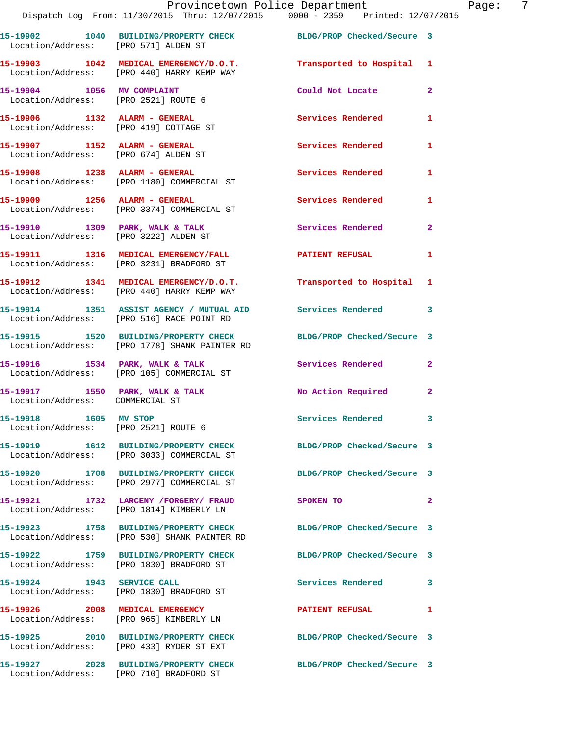**15-19902 1040 BUILDING/PROPERTY CHECK BLDG/PROP Checked/Secure 3**  Location/Address: [PRO 571] ALDEN ST **15-19903 1042 MEDICAL EMERGENCY/D.O.T. Transported to Hospital 1**  Location/Address: [PRO 440] HARRY KEMP WAY **15-19904 1056 MV COMPLAINT Could Not Locate 2**  Location/Address: [PRO 2521] ROUTE 6 **15-19906 1132 ALARM - GENERAL Services Rendered 1**  Location/Address: [PRO 419] COTTAGE ST **15-19907 1152 ALARM - GENERAL Services Rendered 1**  Location/Address: [PRO 674] ALDEN ST **15-19908 1238 ALARM - GENERAL Services Rendered 1**  Location/Address: [PRO 1180] COMMERCIAL ST **15-19909 1256 ALARM - GENERAL Services Rendered 1**  Location/Address: [PRO 3374] COMMERCIAL ST 15-19910 1309 PARK, WALK & TALK **Services Rendered** 2 Location/Address: [PRO 3222] ALDEN ST **15-19911 1316 MEDICAL EMERGENCY/FALL PATIENT REFUSAL 1**  Location/Address: [PRO 3231] BRADFORD ST **15-19912 1341 MEDICAL EMERGENCY/D.O.T. Transported to Hospital 1**  Location/Address: [PRO 440] HARRY KEMP WAY **15-19914 1351 ASSIST AGENCY / MUTUAL AID Services Rendered 3**  Location/Address: [PRO 516] RACE POINT RD **15-19915 1520 BUILDING/PROPERTY CHECK BLDG/PROP Checked/Secure 3**  Location/Address: [PRO 1778] SHANK PAINTER RD 15-19916 1534 PARK, WALK & TALK **Services Rendered** 2 Location/Address: [PRO 105] COMMERCIAL ST 15-19917 1550 PARK, WALK & TALK **No. 2 Action Required** 2 Location/Address: COMMERCIAL ST **15-19918 1605 MV STOP Services Rendered 3**  Location/Address: [PRO 2521] ROUTE 6 **15-19919 1612 BUILDING/PROPERTY CHECK BLDG/PROP Checked/Secure 3**  Location/Address: [PRO 3033] COMMERCIAL ST **15-19920 1708 BUILDING/PROPERTY CHECK BLDG/PROP Checked/Secure 3**  Location/Address: [PRO 2977] COMMERCIAL ST **15-19921 1732 LARCENY /FORGERY/ FRAUD SPOKEN TO 2**  Location/Address: [PRO 1814] KIMBERLY LN **15-19923 1758 BUILDING/PROPERTY CHECK BLDG/PROP Checked/Secure 3**  Location/Address: [PRO 530] SHANK PAINTER RD **15-19922 1759 BUILDING/PROPERTY CHECK BLDG/PROP Checked/Secure 3**  Location/Address: [PRO 1830] BRADFORD ST **15-19924 1943 SERVICE CALL Services Rendered 3**  Location/Address: [PRO 1830] BRADFORD ST **15-19926 2008 MEDICAL EMERGENCY PATIENT REFUSAL 1**  Location/Address: [PRO 965] KIMBERLY LN **15-19925 2010 BUILDING/PROPERTY CHECK BLDG/PROP Checked/Secure 3**  Location/Address: [PRO 433] RYDER ST EXT **15-19927 2028 BUILDING/PROPERTY CHECK BLDG/PROP Checked/Secure 3** 

Location/Address: [PRO 710] BRADFORD ST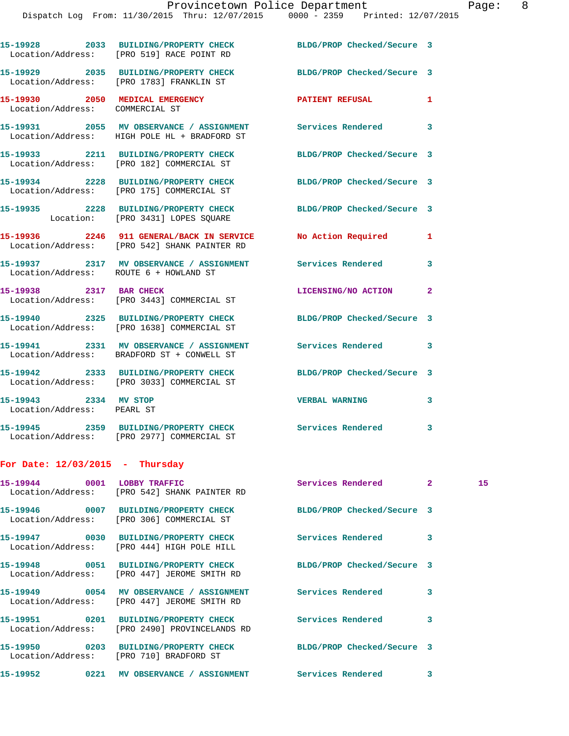|                                                     | 15-19928 2033 BUILDING/PROPERTY CHECK<br>Location/Address: [PRO 519] RACE POINT RD                             | BLDG/PROP Checked/Secure 3 |                         |
|-----------------------------------------------------|----------------------------------------------------------------------------------------------------------------|----------------------------|-------------------------|
|                                                     | 15-19929 2035 BUILDING/PROPERTY CHECK<br>Location/Address: [PRO 1783] FRANKLIN ST                              | BLDG/PROP Checked/Secure 3 |                         |
| Location/Address: COMMERCIAL ST                     | 15-19930 2050 MEDICAL EMERGENCY                                                                                | PATIENT REFUSAL            | 1                       |
|                                                     | 15-19931 2055 MV OBSERVANCE / ASSIGNMENT<br>Location/Address: HIGH POLE HL + BRADFORD ST                       | Services Rendered 3        |                         |
|                                                     | 15-19933 2211 BUILDING/PROPERTY CHECK<br>Location/Address: [PRO 182] COMMERCIAL ST                             | BLDG/PROP Checked/Secure 3 |                         |
|                                                     | 15-19934 2228 BUILDING/PROPERTY CHECK<br>Location/Address: [PRO 175] COMMERCIAL ST                             | BLDG/PROP Checked/Secure 3 |                         |
|                                                     | 15-19935 2228 BUILDING/PROPERTY CHECK<br>Location: [PRO 3431] LOPES SQUARE                                     | BLDG/PROP Checked/Secure 3 |                         |
|                                                     | 15-19936 2246 911 GENERAL/BACK IN SERVICE No Action Required<br>Location/Address: [PRO 542] SHANK PAINTER RD   |                            | 1                       |
| Location/Address: ROUTE 6 + HOWLAND ST              | 15-19937 2317 MV OBSERVANCE / ASSIGNMENT Services Rendered                                                     |                            | $\overline{\mathbf{3}}$ |
| 15-19938 2317 BAR CHECK                             | Location/Address: [PRO 3443] COMMERCIAL ST                                                                     | LICENSING/NO ACTION        | $\mathbf{2}$            |
|                                                     | 15-19940 2325 BUILDING/PROPERTY CHECK<br>Location/Address: [PRO 1638] COMMERCIAL ST                            | BLDG/PROP Checked/Secure 3 |                         |
|                                                     | 15-19941 2331 MV OBSERVANCE / ASSIGNMENT Services Rendered 3<br>Location/Address: BRADFORD ST + CONWELL ST     |                            |                         |
|                                                     | 15-19942 2333 BUILDING/PROPERTY CHECK BLDG/PROP Checked/Secure 3<br>Location/Address: [PRO 3033] COMMERCIAL ST |                            |                         |
| 15-19943 2334 MV STOP<br>Location/Address: PEARL ST |                                                                                                                | <b>VERBAL WARNING</b>      | 3                       |
|                                                     | 15-19945 2359 BUILDING/PROPERTY CHECK<br>Location/Address: [PRO 2977] COMMERCIAL ST                            | Services Rendered 3        |                         |
| For Date: $12/03/2015$ - Thursday                   |                                                                                                                |                            |                         |

|               | 15-19944 0001 LOBBY TRAFFIC<br>Location/Address: [PRO 542] SHANK PAINTER RD                                                                     | Services Rendered 2 |                         | 15 <sub>1</sub> |
|---------------|-------------------------------------------------------------------------------------------------------------------------------------------------|---------------------|-------------------------|-----------------|
|               | 15-19946 0007 BUILDING/PROPERTY CHECK BLDG/PROP Checked/Secure 3<br>Location/Address: [PRO 306] COMMERCIAL ST                                   |                     |                         |                 |
|               | 15-19947 0030 BUILDING/PROPERTY CHECK Services Rendered<br>Location/Address: [PRO 444] HIGH POLE HILL                                           |                     | $\overline{\mathbf{3}}$ |                 |
|               | 15-19948 0051 BUILDING/PROPERTY CHECK BLDG/PROP Checked/Secure 3<br>Location/Address: [PRO 447] JEROME SMITH RD                                 |                     |                         |                 |
|               | 15-19949 0054 MV OBSERVANCE / ASSIGNMENT Services Rendered<br>Location/Address: [PRO 447] JEROME SMITH RD                                       |                     | $\overline{\mathbf{3}}$ |                 |
|               | 15-19951                0201     BUILDING/PROPERTY CHECK                     Services Rendered<br>Location/Address: [PRO 2490] PROVINCELANDS RD |                     | 3                       |                 |
|               | 15-19950 0203 BUILDING/PROPERTY CHECK BLDG/PROP Checked/Secure 3<br>Location/Address: [PRO 710] BRADFORD ST                                     |                     |                         |                 |
| 15-19952 0221 | MV OBSERVANCE / ASSIGNMENT Services Rendered                                                                                                    |                     | 3                       |                 |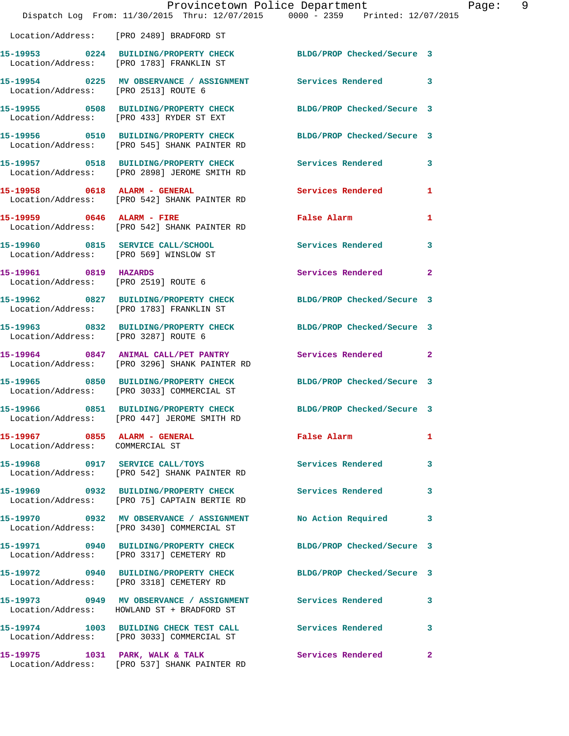|                                                                  | Provincetown Police Department<br>Dispatch Log From: 11/30/2015 Thru: 12/07/2015 0000 - 2359 Printed: 12/07/2015 |                            |                |
|------------------------------------------------------------------|------------------------------------------------------------------------------------------------------------------|----------------------------|----------------|
|                                                                  | Location/Address: [PRO 2489] BRADFORD ST                                                                         |                            |                |
|                                                                  | 15-19953 0224 BUILDING/PROPERTY CHECK BLDG/PROP Checked/Secure 3<br>Location/Address: [PRO 1783] FRANKLIN ST     |                            |                |
| Location/Address: [PRO 2513] ROUTE 6                             | 15-19954 0225 MV OBSERVANCE / ASSIGNMENT Services Rendered                                                       |                            | 3              |
|                                                                  | 15-19955 0508 BUILDING/PROPERTY CHECK<br>Location/Address: [PRO 433] RYDER ST EXT                                | BLDG/PROP Checked/Secure 3 |                |
|                                                                  | 15-19956 0510 BUILDING/PROPERTY CHECK BLDG/PROP Checked/Secure 3<br>Location/Address: [PRO 545] SHANK PAINTER RD |                            |                |
|                                                                  |                                                                                                                  | Services Rendered          | 3              |
| 15-19958 0618 ALARM - GENERAL                                    | Location/Address: [PRO 542] SHANK PAINTER RD                                                                     | Services Rendered          | 1              |
|                                                                  | 15-19959 0646 ALARM - FIRE<br>Location/Address: [PRO 542] SHANK PAINTER RD                                       | False Alarm                | 1              |
| Location/Address: [PRO 569] WINSLOW ST                           | 15-19960 0815 SERVICE CALL/SCHOOL                                                                                | Services Rendered          | 3              |
| 15-19961 0819 HAZARDS                                            | Location/Address: [PRO 2519] ROUTE 6                                                                             | Services Rendered          | $\overline{2}$ |
|                                                                  | 15-19962 0827 BUILDING/PROPERTY CHECK<br>Location/Address: [PRO 1783] FRANKLIN ST                                | BLDG/PROP Checked/Secure 3 |                |
| Location/Address: [PRO 3287] ROUTE 6                             | 15-19963 0832 BUILDING/PROPERTY CHECK                                                                            | BLDG/PROP Checked/Secure 3 |                |
|                                                                  | 15-19964 0847 ANIMAL CALL/PET PANTRY<br>Location/Address: [PRO 3296] SHANK PAINTER RD                            | <b>Services Rendered</b>   | $\mathbf{2}$   |
|                                                                  | 15-19965 0850 BUILDING/PROPERTY CHECK BLDG/PROP Checked/Secure 3<br>Location/Address: [PRO 3033] COMMERCIAL ST   |                            |                |
| 15-19966                                                         | 0851 BUILDING/PROPERTY CHECK<br>Location/Address: [PRO 447] JEROME SMITH RD                                      | BLDG/PROP Checked/Secure 3 |                |
| 15-19967 0855 ALARM - GENERAL<br>Location/Address: COMMERCIAL ST |                                                                                                                  | <b>False Alarm</b>         | 1              |
|                                                                  | 15-19968 0917 SERVICE CALL/TOYS<br>Location/Address: [PRO 542] SHANK PAINTER RD                                  | Services Rendered          | 3              |
|                                                                  | 15-19969 0932 BUILDING/PROPERTY CHECK<br>Location/Address: [PRO 75] CAPTAIN BERTIE RD                            | <b>Services Rendered</b>   | 3              |
|                                                                  | 15-19970 0932 MV OBSERVANCE / ASSIGNMENT No Action Required<br>Location/Address: [PRO 3430] COMMERCIAL ST        |                            | 3              |
|                                                                  | 15-19971 0940 BUILDING/PROPERTY CHECK<br>Location/Address: [PRO 3317] CEMETERY RD                                | BLDG/PROP Checked/Secure 3 |                |
|                                                                  | 15-19972 0940 BUILDING/PROPERTY CHECK<br>Location/Address: [PRO 3318] CEMETERY RD                                | BLDG/PROP Checked/Secure 3 |                |
|                                                                  | 15-19973 0949 MV OBSERVANCE / ASSIGNMENT Services Rendered<br>Location/Address: HOWLAND ST + BRADFORD ST         |                            | 3              |
|                                                                  | 15-19974 1003 BUILDING CHECK TEST CALL<br>Location/Address: [PRO 3033] COMMERCIAL ST                             | <b>Services Rendered</b>   | 3              |
|                                                                  | 15-19975 1031 PARK, WALK & TALK 19975 Services Rendered<br>Location/Address: [PRO 537] SHANK PAINTER RD          |                            | $\overline{2}$ |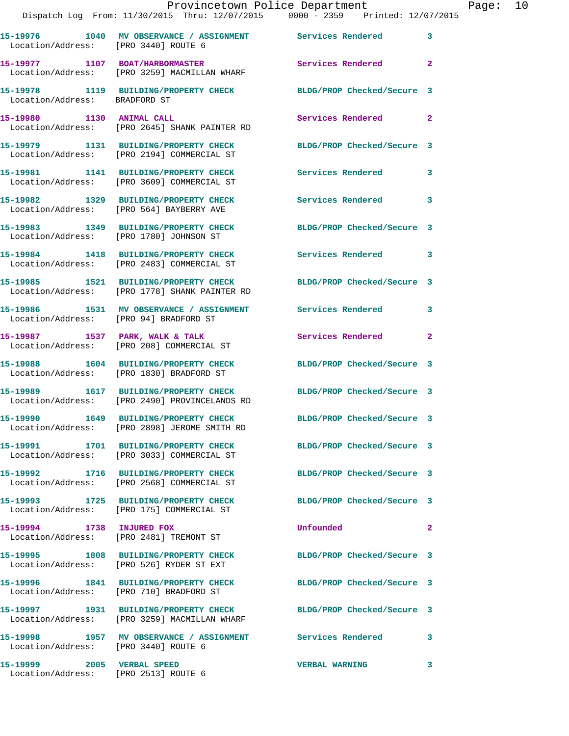|                                      | Dispatch Log From: 11/30/2015 Thru: 12/07/2015 0000 - 2359 Printed: 12/07/2015                                    | Provincetown Police Department | Page: 10     |
|--------------------------------------|-------------------------------------------------------------------------------------------------------------------|--------------------------------|--------------|
| Location/Address: [PRO 3440] ROUTE 6 | 15-19976 1040 MV OBSERVANCE / ASSIGNMENT Services Rendered 3                                                      |                                |              |
|                                      | 15-19977 1107 BOAT/HARBORMASTER Services Rendered 2<br>Location/Address: [PRO 3259] MACMILLAN WHARF               |                                |              |
|                                      | 15-19978 1119 BUILDING/PROPERTY CHECK BLDG/PROP Checked/Secure 3<br>Location/Address: BRADFORD ST                 |                                |              |
|                                      | 15-19980 1130 ANIMAL CALL<br>Location/Address: [PRO 2645] SHANK PAINTER RD                                        | Services Rendered 2            |              |
|                                      | 15-19979 1131 BUILDING/PROPERTY CHECK BLDG/PROP Checked/Secure 3<br>Location/Address: [PRO 2194] COMMERCIAL ST    |                                |              |
|                                      | 15-19981 1141 BUILDING/PROPERTY CHECK Services Rendered 3<br>Location/Address: [PRO 3609] COMMERCIAL ST           |                                |              |
|                                      | 15-19982 1329 BUILDING/PROPERTY CHECK Services Rendered 3<br>Location/Address: [PRO 564] BAYBERRY AVE             |                                |              |
|                                      | 15-19983 1349 BUILDING/PROPERTY CHECK BLDG/PROP Checked/Secure 3<br>Location/Address: [PRO 1780] JOHNSON ST       |                                |              |
|                                      | 15-19984 1418 BUILDING/PROPERTY CHECK Services Rendered 3<br>Location/Address: [PRO 2483] COMMERCIAL ST           |                                |              |
|                                      | 15-19985 1521 BUILDING/PROPERTY CHECK BLDG/PROP Checked/Secure 3<br>Location/Address: [PRO 1778] SHANK PAINTER RD |                                |              |
|                                      | 15-19986 1531 MV OBSERVANCE / ASSIGNMENT Services Rendered 3<br>Location/Address: [PRO 94] BRADFORD ST            |                                |              |
|                                      | 15-19987 1537 PARK, WALK & TALK<br>Location/Address: [PRO 208] COMMERCIAL ST                                      | Services Rendered 2            |              |
|                                      | 15-19988 1604 BUILDING/PROPERTY CHECK BLDG/PROP Checked/Secure 3<br>Location/Address: [PRO 1830] BRADFORD ST      |                                |              |
|                                      | 15-19989 1617 BUILDING/PROPERTY CHECK BLDG/PROP Checked/Secure 3<br>Location/Address: [PRO 2490] PROVINCELANDS RD |                                |              |
|                                      | 15-19990 1649 BUILDING/PROPERTY CHECK<br>Location/Address: [PRO 2898] JEROME SMITH RD                             | BLDG/PROP Checked/Secure 3     |              |
|                                      | 15-19991 1701 BUILDING/PROPERTY CHECK BLDG/PROP Checked/Secure 3<br>Location/Address: [PRO 3033] COMMERCIAL ST    |                                |              |
|                                      | 15-19992 1716 BUILDING/PROPERTY CHECK BLDG/PROP Checked/Secure 3<br>Location/Address: [PRO 2568] COMMERCIAL ST    |                                |              |
|                                      | 15-19993 1725 BUILDING/PROPERTY CHECK BLDG/PROP Checked/Secure 3<br>Location/Address: [PRO 175] COMMERCIAL ST     |                                |              |
| 15-19994 1738 INJURED FOX            | Location/Address: [PRO 2481] TREMONT ST                                                                           | <b>Unfounded</b>               | $\mathbf{2}$ |
|                                      | 15-19995 1808 BUILDING/PROPERTY CHECK BLDG/PROP Checked/Secure 3<br>Location/Address: [PRO 526] RYDER ST EXT      |                                |              |
|                                      | 15-19996 1841 BUILDING/PROPERTY CHECK BLDG/PROP Checked/Secure 3<br>Location/Address: [PRO 710] BRADFORD ST       |                                |              |
|                                      | 15-19997 1931 BUILDING/PROPERTY CHECK BLDG/PROP Checked/Secure 3<br>Location/Address: [PRO 3259] MACMILLAN WHARF  |                                |              |
| Location/Address: [PRO 3440] ROUTE 6 | 15-19998 1957 MV OBSERVANCE / ASSIGNMENT Services Rendered 3                                                      |                                |              |
| 15-19999 2005 VERBAL SPEED           |                                                                                                                   | VERBAL WARNING 3               |              |

Location/Address: [PRO 2513] ROUTE 6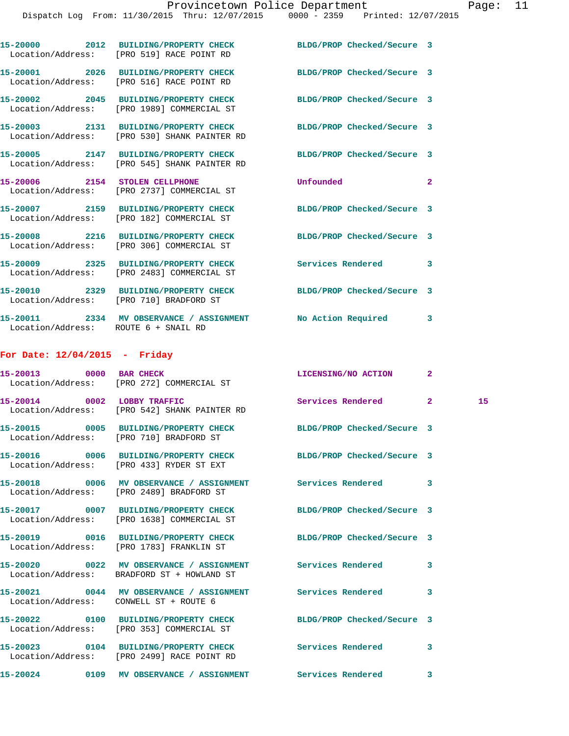|                                      | 15-20000 2012 BUILDING/PROPERTY CHECK<br>Location/Address: [PRO 519] RACE POINT RD                               | BLDG/PROP Checked/Secure 3 |                |    |
|--------------------------------------|------------------------------------------------------------------------------------------------------------------|----------------------------|----------------|----|
|                                      | 15-20001 2026 BUILDING/PROPERTY CHECK BLDG/PROP Checked/Secure 3<br>Location/Address: [PRO 516] RACE POINT RD    |                            |                |    |
|                                      | 15-20002 2045 BUILDING/PROPERTY CHECK BLDG/PROP Checked/Secure 3<br>Location/Address: [PRO 1989] COMMERCIAL ST   |                            |                |    |
|                                      | 15-20003 2131 BUILDING/PROPERTY CHECK BLDG/PROP Checked/Secure 3<br>Location/Address: [PRO 530] SHANK PAINTER RD |                            |                |    |
|                                      | 15-20005 2147 BUILDING/PROPERTY CHECK BLDG/PROP Checked/Secure 3<br>Location/Address: [PRO 545] SHANK PAINTER RD |                            |                |    |
|                                      | 15-20006 2154 STOLEN CELLPHONE<br>Location/Address: [PRO 2737] COMMERCIAL ST                                     | Unfounded                  | $\overline{2}$ |    |
|                                      | 15-20007 2159 BUILDING/PROPERTY CHECK<br>Location/Address: [PRO 182] COMMERCIAL ST                               | BLDG/PROP Checked/Secure 3 |                |    |
|                                      | 15-20008 2216 BUILDING/PROPERTY CHECK<br>Location/Address: [PRO 306] COMMERCIAL ST                               | BLDG/PROP Checked/Secure 3 |                |    |
|                                      | 15-20009 2325 BUILDING/PROPERTY CHECK<br>Location/Address: [PRO 2483] COMMERCIAL ST                              | Services Rendered          | 3              |    |
|                                      | 15-20010 2329 BUILDING/PROPERTY CHECK BLDG/PROP Checked/Secure 3<br>Location/Address: [PRO 710] BRADFORD ST      |                            |                |    |
| Location/Address: ROUTE 6 + SNAIL RD | 15-20011 2334 MV OBSERVANCE / ASSIGNMENT No Action Required 3                                                    |                            |                |    |
| For Date: $12/04/2015$ - Friday      |                                                                                                                  |                            |                |    |
|                                      | 15-20013 0000 BAR CHECK<br>Location/Address: [PRO 272] COMMERCIAL ST                                             | LICENSING/NO ACTION        | $\mathbf{2}$   |    |
| 15-20014 0002 LOBBY TRAFFIC          | Location/Address: [PRO 542] SHANK PAINTER RD                                                                     | Services Rendered 2        |                | 15 |
|                                      | 15-20015 0005 BUILDING/PROPERTY CHECK BLDG/PROP Checked/Secure 3<br>Location/Address: [PRO 710] BRADFORD ST      |                            |                |    |
|                                      |                                                                                                                  |                            |                |    |

Location/Address: [PRO 433] RYDER ST EXT

**15-20017 0007 BUILDING/PROPERTY CHECK BLDG/PROP Checked/Secure 3**  Location/Address: [PRO 1638] COMMERCIAL ST

**15-20020 0022 MV OBSERVANCE / ASSIGNMENT Services Rendered 3** 

**15-20024 0109 MV OBSERVANCE / ASSIGNMENT Services Rendered 3** 

**15-20016 0006 BUILDING/PROPERTY CHECK BLDG/PROP Checked/Secure 3** 

**15-20018 0006 MV OBSERVANCE / ASSIGNMENT Services Rendered 3**  Location/Address: [PRO 2489] BRADFORD ST

**15-20019 0016 BUILDING/PROPERTY CHECK BLDG/PROP Checked/Secure 3** 

Location/Address: [PRO 1783] FRANKLIN ST

Location/Address: BRADFORD ST + HOWLAND ST

**15-20021 0044 MV OBSERVANCE / ASSIGNMENT Services Rendered 3**  Location/Address: CONWELL ST + ROUTE 6

Location/Address: [PRO 353] COMMERCIAL ST

**15-20023 0104 BUILDING/PROPERTY CHECK Services Rendered 3**  Location/Address: [PRO 2499] RACE POINT RD

**15-20022 0100 BUILDING/PROPERTY CHECK BLDG/PROP Checked/Secure 3**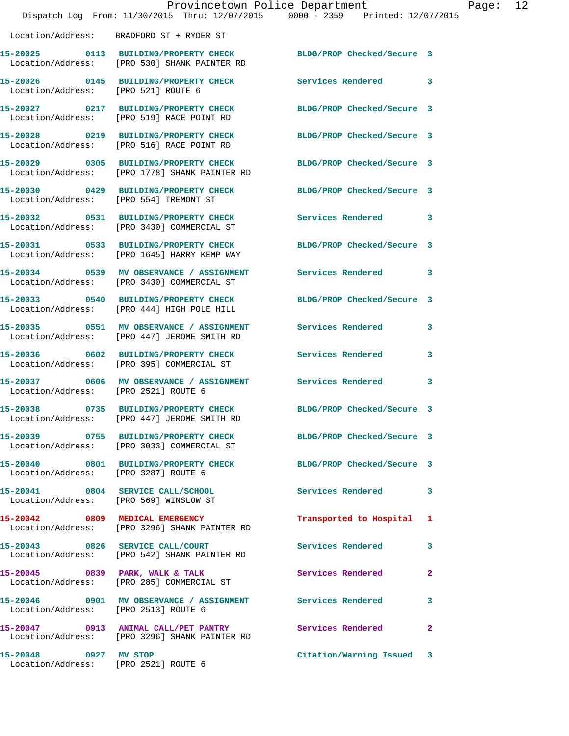|                                                               | Provincetown Police Department<br>Dispatch Log From: 11/30/2015 Thru: 12/07/2015 0000 - 2359 Printed: 12/07/2015 |                            |                |
|---------------------------------------------------------------|------------------------------------------------------------------------------------------------------------------|----------------------------|----------------|
|                                                               | Location/Address: BRADFORD ST + RYDER ST                                                                         |                            |                |
| 15-20025                                                      | 0113 BUILDING/PROPERTY CHECK BLDG/PROP Checked/Secure 3<br>Location/Address: [PRO 530] SHANK PAINTER RD          |                            |                |
| Location/Address: [PRO 521] ROUTE 6                           | 15-20026 0145 BUILDING/PROPERTY CHECK                                                                            | <b>Services Rendered</b>   | 3              |
|                                                               | 15-20027 0217 BUILDING/PROPERTY CHECK<br>Location/Address: [PRO 519] RACE POINT RD                               | BLDG/PROP Checked/Secure 3 |                |
|                                                               | 15-20028 0219 BUILDING/PROPERTY CHECK<br>Location/Address: [PRO 516] RACE POINT RD                               | BLDG/PROP Checked/Secure 3 |                |
|                                                               | 15-20029 0305 BUILDING/PROPERTY CHECK<br>Location/Address: [PRO 1778] SHANK PAINTER RD                           | BLDG/PROP Checked/Secure 3 |                |
| Location/Address: [PRO 554] TREMONT ST                        | 15-20030 0429 BUILDING/PROPERTY CHECK                                                                            | BLDG/PROP Checked/Secure 3 |                |
|                                                               | 15-20032 0531 BUILDING/PROPERTY CHECK<br>Location/Address: [PRO 3430] COMMERCIAL ST                              | <b>Services Rendered</b>   | 3              |
|                                                               | 15-20031 0533 BUILDING/PROPERTY CHECK<br>Location/Address: [PRO 1645] HARRY KEMP WAY                             | BLDG/PROP Checked/Secure 3 |                |
|                                                               | 15-20034 0539 MV OBSERVANCE / ASSIGNMENT<br>Location/Address: [PRO 3430] COMMERCIAL ST                           | <b>Services Rendered</b>   | 3              |
|                                                               | 15-20033 0540 BUILDING/PROPERTY CHECK<br>Location/Address: [PRO 444] HIGH POLE HILL                              | BLDG/PROP Checked/Secure 3 |                |
|                                                               | 15-20035 0551 MV OBSERVANCE / ASSIGNMENT<br>Location/Address: [PRO 447] JEROME SMITH RD                          | <b>Services Rendered</b>   | 3              |
| 15-20036                                                      | 0602 BUILDING/PROPERTY CHECK<br>Location/Address: [PRO 395] COMMERCIAL ST                                        | Services Rendered          | 3              |
| Location/Address: [PRO 2521] ROUTE 6                          | 15-20037 0606 MV OBSERVANCE / ASSIGNMENT Services Rendered                                                       |                            | 3              |
| 15-20038                                                      | 0735 BUILDING/PROPERTY CHECK BLDG/PROP Checked/Secure 3<br>Location/Address: [PRO 447] JEROME SMITH RD           |                            |                |
|                                                               | 15-20039 0755 BUILDING/PROPERTY CHECK BLDG/PROP Checked/Secure 3<br>Location/Address: [PRO 3033] COMMERCIAL ST   |                            |                |
| Location/Address: [PRO 3287] ROUTE 6                          | 15-20040 0801 BUILDING/PROPERTY CHECK                                                                            | BLDG/PROP Checked/Secure 3 |                |
| Location/Address: [PRO 569] WINSLOW ST                        | 15-20041 0804 SERVICE CALL/SCHOOL                                                                                | Services Rendered          | 3              |
|                                                               | 15-20042 0809 MEDICAL EMERGENCY<br>Location/Address: [PRO 3296] SHANK PAINTER RD                                 | Transported to Hospital    | 1              |
|                                                               | 15-20043 0826 SERVICE CALL/COURT<br>Location/Address: [PRO 542] SHANK PAINTER RD                                 | Services Rendered          | 3              |
| 15-20045 0839 PARK, WALK & TALK                               | Location/Address: [PRO 285] COMMERCIAL ST                                                                        | Services Rendered          | $\overline{a}$ |
| Location/Address: [PRO 2513] ROUTE 6                          | 15-20046 0901 MV OBSERVANCE / ASSIGNMENT Services Rendered                                                       |                            | 3.             |
|                                                               | 15-20047 0913 ANIMAL CALL/PET PANTRY Services Rendered<br>Location/Address: [PRO 3296] SHANK PAINTER RD          |                            | $\mathbf{2}$   |
| 15-20048 0927 MV STOP<br>Location/Address: [PRO 2521] ROUTE 6 |                                                                                                                  | Citation/Warning Issued    | 3              |

Page:  $12$ <br> $15$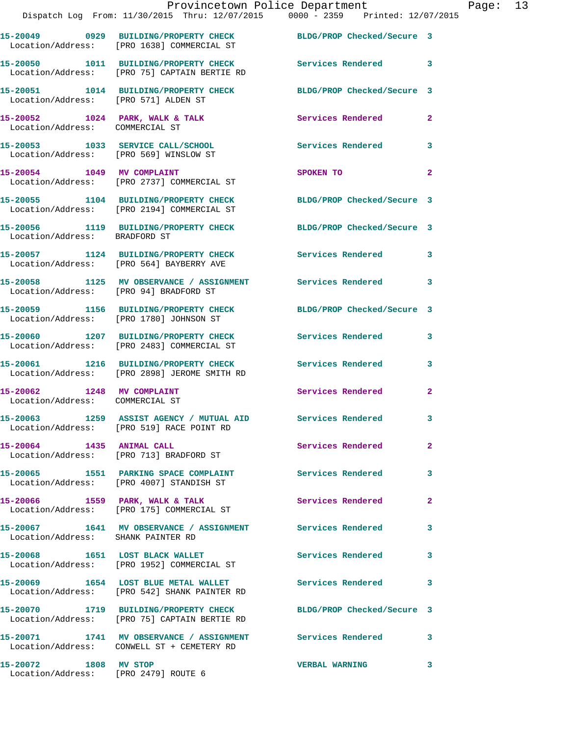|                                                               | Provincetown Police Department<br>Dispatch Log From: 11/30/2015 Thru: 12/07/2015 0000 - 2359 Printed: 12/07/2015 |                            | $\mathbf{P}$            |
|---------------------------------------------------------------|------------------------------------------------------------------------------------------------------------------|----------------------------|-------------------------|
|                                                               | 15-20049 0929 BUILDING/PROPERTY CHECK BLDG/PROP Checked/Secure 3<br>Location/Address: [PRO 1638] COMMERCIAL ST   |                            |                         |
|                                                               | 15-20050 1011 BUILDING/PROPERTY CHECK<br>Location/Address: [PRO 75] CAPTAIN BERTIE RD                            | Services Rendered          | 3                       |
| Location/Address: [PRO 571] ALDEN ST                          | 15-20051 1014 BUILDING/PROPERTY CHECK BLDG/PROP Checked/Secure 3                                                 |                            |                         |
| Location/Address: COMMERCIAL ST                               | 15-20052 1024 PARK, WALK & TALK                                                                                  | Services Rendered          | $\overline{a}$          |
|                                                               | 15-20053 1033 SERVICE CALL/SCHOOL 5ervices Rendered<br>Location/Address: [PRO 569] WINSLOW ST                    |                            | 3                       |
|                                                               | 15-20054 1049 MV COMPLAINT<br>Location/Address: [PRO 2737] COMMERCIAL ST                                         | SPOKEN TO                  | $\overline{a}$          |
|                                                               | 15-20055 1104 BUILDING/PROPERTY CHECK BLDG/PROP Checked/Secure 3<br>Location/Address: [PRO 2194] COMMERCIAL ST   |                            |                         |
| Location/Address: BRADFORD ST                                 | 15-20056 1119 BUILDING/PROPERTY CHECK BLDG/PROP Checked/Secure 3                                                 |                            |                         |
|                                                               | 15-20057 1124 BUILDING/PROPERTY CHECK<br>Location/Address: [PRO 564] BAYBERRY AVE                                | Services Rendered          | 3                       |
|                                                               | 15-20058 1125 MV OBSERVANCE / ASSIGNMENT Services Rendered<br>Location/Address: [PRO 94] BRADFORD ST             |                            | 3                       |
|                                                               | 15-20059 1156 BUILDING/PROPERTY CHECK<br>Location/Address: [PRO 1780] JOHNSON ST                                 | BLDG/PROP Checked/Secure 3 |                         |
|                                                               | 15-20060 1207 BUILDING/PROPERTY CHECK Services Rendered<br>Location/Address: [PRO 2483] COMMERCIAL ST            |                            | 3                       |
|                                                               | 15-20061 1216 BUILDING/PROPERTY CHECK Services Rendered<br>Location/Address: [PRO 2898] JEROME SMITH RD          |                            | 3                       |
| 15-20062 1248 MV COMPLAINT<br>Location/Address: COMMERCIAL ST |                                                                                                                  | Services Rendered          | $\overline{\mathbf{2}}$ |
|                                                               | 15-20063 1259 ASSIST AGENCY / MUTUAL AID<br>Location/Address: [PRO 519] RACE POINT RD                            | <b>Services Rendered</b>   | 3                       |
| 15-20064 1435 ANIMAL CALL                                     | Location/Address: [PRO 713] BRADFORD ST                                                                          | Services Rendered          | $\overline{2}$          |
|                                                               | 15-20065 1551 PARKING SPACE COMPLAINT<br>Location/Address: [PRO 4007] STANDISH ST                                | Services Rendered          | 3                       |
|                                                               | 15-20066 1559 PARK, WALK & TALK<br>Location/Address: [PRO 175] COMMERCIAL ST                                     | Services Rendered          | $\overline{2}$          |
| Location/Address: SHANK PAINTER RD                            | 15-20067 1641 MV OBSERVANCE / ASSIGNMENT Services Rendered                                                       |                            | 3                       |
|                                                               | 15-20068 1651 LOST BLACK WALLET<br>Location/Address: [PRO 1952] COMMERCIAL ST                                    | Services Rendered          | 3                       |
|                                                               | 15-20069 1654 LOST BLUE METAL WALLET<br>Location/Address: [PRO 542] SHANK PAINTER RD                             | Services Rendered          | 3                       |
|                                                               | 15-20070 1719 BUILDING/PROPERTY CHECK<br>Location/Address: [PRO 75] CAPTAIN BERTIE RD                            | BLDG/PROP Checked/Secure 3 |                         |
|                                                               | 15-20071 1741 MV OBSERVANCE / ASSIGNMENT Services Rendered<br>Location/Address: CONWELL ST + CEMETERY RD         |                            | 3                       |
|                                                               |                                                                                                                  |                            |                         |

**15-20072 1808 MV STOP VERBAL WARNING 3** 

Location/Address: [PRO 2479] ROUTE 6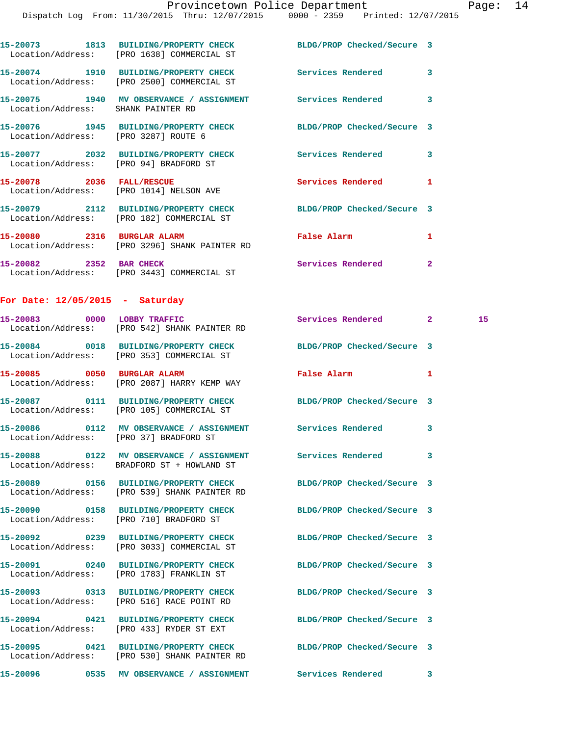|                                        | 15-20073 1813 BUILDING/PROPERTY CHECK BLDG/PROP Checked/Secure 3<br>Location/Address: [PRO 1638] COMMERCIAL ST   |                            |                |    |
|----------------------------------------|------------------------------------------------------------------------------------------------------------------|----------------------------|----------------|----|
|                                        | 15-20074 1910 BUILDING/PROPERTY CHECK Services Rendered 3<br>Location/Address: [PRO 2500] COMMERCIAL ST          |                            |                |    |
| Location/Address: SHANK PAINTER RD     | 15-20075 1940 MV OBSERVANCE / ASSIGNMENT Services Rendered 3                                                     |                            |                |    |
| Location/Address: [PRO 3287] ROUTE 6   | 15-20076 1945 BUILDING/PROPERTY CHECK BLDG/PROP Checked/Secure 3                                                 |                            |                |    |
| Location/Address: [PRO 94] BRADFORD ST | 15-20077 2032 BUILDING/PROPERTY CHECK Services Rendered 3                                                        |                            |                |    |
|                                        | 15-20078 2036 FALL/RESCUE<br>Location/Address: [PRO 1014] NELSON AVE                                             | Services Rendered          | 1              |    |
|                                        | 15-20079 2112 BUILDING/PROPERTY CHECK BLDG/PROP Checked/Secure 3<br>Location/Address: [PRO 182] COMMERCIAL ST    |                            |                |    |
|                                        | 15-20080 2316 BURGLAR ALARM<br>Location/Address: [PRO 3296] SHANK PAINTER RD                                     | False Alarm                | 1              |    |
| 15-20082 2352 BAR CHECK                | Location/Address: [PRO 3443] COMMERCIAL ST                                                                       | Services Rendered          | $\overline{2}$ |    |
| For Date: $12/05/2015$ - Saturday      |                                                                                                                  |                            |                |    |
|                                        | 15-20083 0000 LOBBY TRAFFIC<br>Location/Address: [PRO 542] SHANK PAINTER RD                                      | Services Rendered 2        |                | 15 |
|                                        | 15-20084 0018 BUILDING/PROPERTY CHECK<br>Location/Address: [PRO 353] COMMERCIAL ST                               | BLDG/PROP Checked/Secure 3 |                |    |
|                                        | 15-20085 0050 BURGLAR ALARM<br>Location/Address: [PRO 2087] HARRY KEMP WAY                                       | False Alarm                | 1              |    |
|                                        | 15-20087 0111 BUILDING/PROPERTY CHECK BLDG/PROP Checked/Secure 3<br>Location/Address: [PRO 105] COMMERCIAL ST    |                            |                |    |
|                                        | 15-20086      0112   MV OBSERVANCE / ASSIGNMENT      Services Rendered<br>Location/Address: [PRO 37] BRADFORD ST |                            | 3              |    |
| 15-20088                               | 0122 MV OBSERVANCE / ASSIGNMENT<br>Location/Address: BRADFORD ST + HOWLAND ST                                    | Services Rendered          | 3              |    |
|                                        | 15-20089 0156 BUILDING/PROPERTY CHECK<br>Location/Address: [PRO 539] SHANK PAINTER RD                            | BLDG/PROP Checked/Secure 3 |                |    |
|                                        | 15-20090 0158 BUILDING/PROPERTY CHECK<br>Location/Address: [PRO 710] BRADFORD ST                                 | BLDG/PROP Checked/Secure 3 |                |    |
|                                        | 15-20092  0239 BUILDING/PROPERTY CHECK<br>Location/Address: [PRO 3033] COMMERCIAL ST                             | BLDG/PROP Checked/Secure 3 |                |    |
|                                        | Location/Address: [PRO 1783] FRANKLIN ST                                                                         | BLDG/PROP Checked/Secure 3 |                |    |

**15-20093 0313 BUILDING/PROPERTY CHECK BLDG/PROP Checked/Secure 3**  Location/Address: [PRO 516] RACE POINT RD

**15-20094 0421 BUILDING/PROPERTY CHECK BLDG/PROP Checked/Secure 3**  Location/Address: [PRO 433] RYDER ST EXT

**15-20095 0421 BUILDING/PROPERTY CHECK BLDG/PROP Checked/Secure 3**  Location/Address: [PRO 530] SHANK PAINTER RD

**15-20096 0535 MV OBSERVANCE / ASSIGNMENT Services Rendered 3**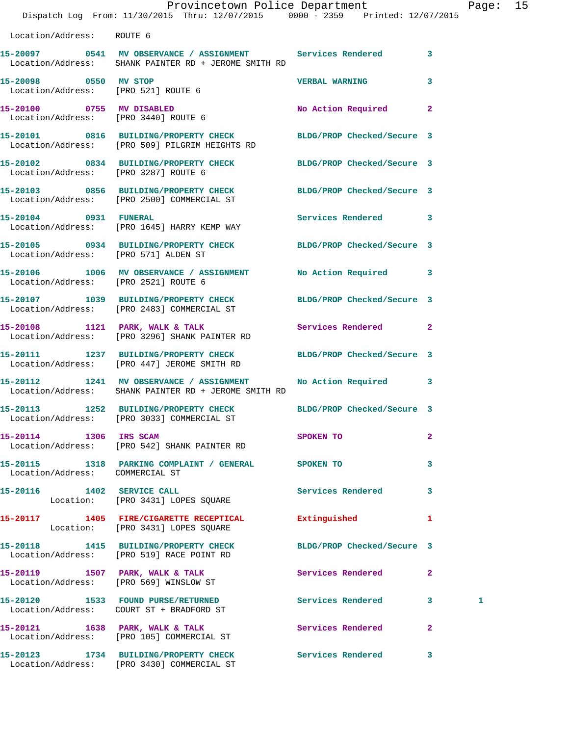|                                                              | Dispatch Log From: 11/30/2015 Thru: 12/07/2015 0000 - 2359 Printed: 12/07/2015                                       | Provincetown Police Department |                | Page: 15 |  |
|--------------------------------------------------------------|----------------------------------------------------------------------------------------------------------------------|--------------------------------|----------------|----------|--|
| Location/Address: ROUTE 6                                    |                                                                                                                      |                                |                |          |  |
|                                                              | 15-20097 0541 MV OBSERVANCE / ASSIGNMENT Services Rendered 3<br>Location/Address: SHANK PAINTER RD + JEROME SMITH RD |                                |                |          |  |
| 15-20098 0550 MV STOP<br>Location/Address: [PRO 521] ROUTE 6 |                                                                                                                      | <b>VERBAL WARNING</b>          | 3              |          |  |
| Location/Address: [PRO 3440] ROUTE 6                         | 15-20100 0755 MV DISABLED                                                                                            | No Action Required 2           |                |          |  |
|                                                              | 15-20101 0816 BUILDING/PROPERTY CHECK BLDG/PROP Checked/Secure 3<br>Location/Address: [PRO 509] PILGRIM HEIGHTS RD   |                                |                |          |  |
| Location/Address: [PRO 3287] ROUTE 6                         | 15-20102 0834 BUILDING/PROPERTY CHECK BLDG/PROP Checked/Secure 3                                                     |                                |                |          |  |
|                                                              | 15-20103 0856 BUILDING/PROPERTY CHECK BLDG/PROP Checked/Secure 3<br>Location/Address: [PRO 2500] COMMERCIAL ST       |                                |                |          |  |
| 15-20104 0931 FUNERAL                                        | Location/Address: [PRO 1645] HARRY KEMP WAY                                                                          | Services Rendered 3            |                |          |  |
| Location/Address: [PRO 571] ALDEN ST                         | 15-20105 0934 BUILDING/PROPERTY CHECK BLDG/PROP Checked/Secure 3                                                     |                                |                |          |  |
| Location/Address: [PRO 2521] ROUTE 6                         | 15-20106 1006 MV OBSERVANCE / ASSIGNMENT No Action Required 3                                                        |                                |                |          |  |
|                                                              | 15-20107 1039 BUILDING/PROPERTY CHECK BLDG/PROP Checked/Secure 3<br>Location/Address: [PRO 2483] COMMERCIAL ST       |                                |                |          |  |
|                                                              | 15-20108 1121 PARK, WALK & TALK<br>Location/Address: [PRO 3296] SHANK PAINTER RD                                     | <b>Services Rendered</b>       | $\mathbf{2}$   |          |  |
|                                                              | 15-20111 1237 BUILDING/PROPERTY CHECK BLDG/PROP Checked/Secure 3<br>Location/Address: [PRO 447] JEROME SMITH RD      |                                |                |          |  |
|                                                              | 15-20112 1241 MV OBSERVANCE / ASSIGNMENT<br>Location/Address: SHANK PAINTER RD + JEROME SMITH RD                     | No Action Required 3           |                |          |  |
|                                                              | 15-20113 1252 BUILDING/PROPERTY CHECK<br>Location/Address: [PRO 3033] COMMERCIAL ST                                  | BLDG/PROP Checked/Secure 3     |                |          |  |
| 15-20114 1306 IRS SCAM                                       | Location/Address: [PRO 542] SHANK PAINTER RD                                                                         | SPOKEN TO                      | $\mathbf{2}$   |          |  |
|                                                              | 15-20115   1318   PARKING COMPLAINT / GENERAL   SPOKEN TO<br>Location/Address:   COMMERCIAL ST                       |                                | 3              |          |  |
|                                                              | 15-20116 1402 SERVICE CALL<br>Location: [PRO 3431] LOPES SQUARE                                                      | Services Rendered              | 3              |          |  |
|                                                              | 15-20117 1405 FIRE/CIGARETTE RECEPTICAL Extinguished<br>Location: [PRO 3431] LOPES SQUARE                            |                                | $\mathbf{1}$   |          |  |
|                                                              | 15-20118 1415 BUILDING/PROPERTY CHECK BLDG/PROP Checked/Secure 3<br>Location/Address: [PRO 519] RACE POINT RD        |                                |                |          |  |
|                                                              | 15-20119 1507 PARK, WALK & TALK<br>Location/Address: [PRO 569] WINSLOW ST                                            | Services Rendered              | $\mathbf{2}$   |          |  |
|                                                              | 15-20120 1533 FOUND PURSE/RETURNED<br>Location/Address: COURT ST + BRADFORD ST                                       | Services Rendered 3            |                | 1        |  |
|                                                              | 15-20121 1638 PARK, WALK & TALK<br>Location/Address: [PRO 105] COMMERCIAL ST                                         | Services Rendered              | $\overline{2}$ |          |  |
|                                                              | 15-20123 1734 BUILDING/PROPERTY CHECK Services Rendered                                                              |                                | 3              |          |  |

Location/Address: [PRO 3430] COMMERCIAL ST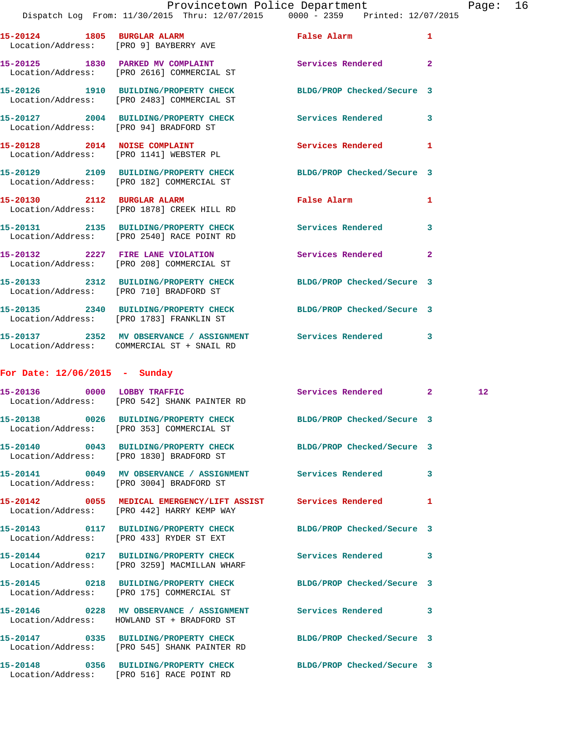|                               | Dispatch Log From: 11/30/2015 Thru: 12/07/2015 0000 - 2359 Printed: 12/07/2015                                 |                            |                |  |
|-------------------------------|----------------------------------------------------------------------------------------------------------------|----------------------------|----------------|--|
|                               | 15-20124 1805 BURGLAR ALARM<br>Location/Address: [PRO 9] BAYBERRY AVE                                          | False Alarm                | $\mathbf{1}$   |  |
|                               | 15-20125 1830 PARKED MV COMPLAINT<br>Location/Address: [PRO 2616] COMMERCIAL ST                                | Services Rendered 2        |                |  |
|                               | 15-20126 1910 BUILDING/PROPERTY CHECK BLDG/PROP Checked/Secure 3<br>Location/Address: [PRO 2483] COMMERCIAL ST |                            |                |  |
|                               | 15-20127 2004 BUILDING/PROPERTY CHECK Services Rendered 3<br>Location/Address: [PRO 94] BRADFORD ST            |                            |                |  |
|                               | 15-20128 2014 NOISE COMPLAINT<br>Location/Address: [PRO 1141] WEBSTER PL                                       | Services Rendered          | 1              |  |
|                               | 15-20129 2109 BUILDING/PROPERTY CHECK BLDG/PROP Checked/Secure 3<br>Location/Address: [PRO 182] COMMERCIAL ST  |                            |                |  |
|                               | 15-20130 2112 BURGLAR ALARM<br>Location/Address: [PRO 1878] CREEK HILL RD                                      | False Alarm                | 1              |  |
|                               | 15-20131 2135 BUILDING/PROPERTY CHECK Services Rendered<br>Location/Address: [PRO 2540] RACE POINT RD          |                            | 3              |  |
|                               | 15-20132 2227 FIRE LANE VIOLATION<br>Location/Address: [PRO 208] COMMERCIAL ST                                 | Services Rendered          | $\overline{2}$ |  |
|                               | 15-20133 2312 BUILDING/PROPERTY CHECK BLDG/PROP Checked/Secure 3<br>Location/Address: [PRO 710] BRADFORD ST    |                            |                |  |
|                               | 15-20135 2340 BUILDING/PROPERTY CHECK BLDG/PROP Checked/Secure 3<br>Location/Address: [PRO 1783] FRANKLIN ST   |                            |                |  |
|                               | 15-20137 2352 MV OBSERVANCE / ASSIGNMENT Services Rendered<br>Location/Address: COMMERCIAL ST + SNAIL RD       |                            | 3              |  |
| For Date: 12/06/2015 - Sunday |                                                                                                                |                            |                |  |
|                               | 15-20136 0000 LOBBY TRAFFIC<br>Location/Address: [PRO 542] SHANK PAINTER RD                                    | Services Rendered 2        | 12             |  |
|                               | 15-20138 0026 BUILDING/PROPERTY CHECK BLDG/PROP Checked/Secure 3<br>Location/Address: [PRO 353] COMMERCIAL ST  |                            |                |  |
|                               | 15-20140 0043 BUILDING/PROPERTY CHECK BLDG/PROP Checked/Secure 3<br>Location/Address: [PRO 1830] BRADFORD ST   |                            |                |  |
|                               | 15-20141 0049 MV OBSERVANCE / ASSIGNMENT Services Rendered<br>Location/Address: [PRO 3004] BRADFORD ST         |                            | 3              |  |
|                               | 15-20142 0055 MEDICAL EMERGENCY/LIFT ASSIST Services Rendered<br>Location/Address: [PRO 442] HARRY KEMP WAY    |                            | 1              |  |
|                               | 15-20143 0117 BUILDING/PROPERTY CHECK<br>Location/Address: [PRO 433] RYDER ST EXT                              | BLDG/PROP Checked/Secure 3 |                |  |
|                               | 15-20144 0217 BUILDING/PROPERTY CHECK<br>Location/Address: [PRO 3259] MACMILLAN WHARF                          | <b>Services Rendered</b>   | 3              |  |

**15-20145 0218 BUILDING/PROPERTY CHECK BLDG/PROP Checked/Secure 3**  Location/Address: [PRO 175] COMMERCIAL ST

**15-20146 0228 MV OBSERVANCE / ASSIGNMENT Services Rendered 3**  Location/Address: HOWLAND ST + BRADFORD ST **15-20147 0335 BUILDING/PROPERTY CHECK BLDG/PROP Checked/Secure 3**  Location/Address: [PRO 545] SHANK PAINTER RD

Location/Address: [PRO 516] RACE POINT RD

**15-20148 0356 BUILDING/PROPERTY CHECK BLDG/PROP Checked/Secure 3**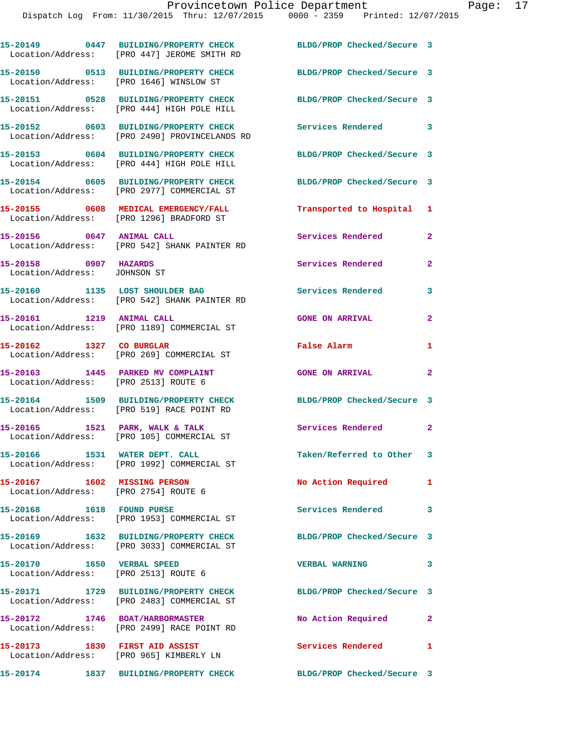|                                                                           | 15-20149 0447 BUILDING/PROPERTY CHECK<br>Location/Address: [PRO 447] JEROME SMITH RD   | BLDG/PROP Checked/Secure 3                    |                |
|---------------------------------------------------------------------------|----------------------------------------------------------------------------------------|-----------------------------------------------|----------------|
|                                                                           | 15-20150 0513 BUILDING/PROPERTY CHECK<br>Location/Address: [PRO 1646] WINSLOW ST       | BLDG/PROP Checked/Secure 3                    |                |
|                                                                           | 15-20151 0528 BUILDING/PROPERTY CHECK<br>Location/Address: [PRO 444] HIGH POLE HILL    | BLDG/PROP Checked/Secure 3                    |                |
|                                                                           | 15-20152 0603 BUILDING/PROPERTY CHECK<br>Location/Address: [PRO 2490] PROVINCELANDS RD | Services Rendered 3                           |                |
|                                                                           | 15-20153 0604 BUILDING/PROPERTY CHECK<br>Location/Address: [PRO 444] HIGH POLE HILL    | BLDG/PROP Checked/Secure 3                    |                |
|                                                                           | 15-20154 0605 BUILDING/PROPERTY CHECK<br>Location/Address: [PRO 2977] COMMERCIAL ST    | BLDG/PROP Checked/Secure 3                    |                |
|                                                                           | 15-20155 0608 MEDICAL EMERGENCY/FALL<br>Location/Address: [PRO 1296] BRADFORD ST       | Transported to Hospital 1                     |                |
|                                                                           | 15-20156 0647 ANIMAL CALL<br>Location/Address: [PRO 542] SHANK PAINTER RD              | Services Rendered                             | $\mathbf{2}$   |
| 15-20158 0907 HAZARDS<br>Location/Address: JOHNSON ST                     |                                                                                        | Services Rendered                             | $\mathbf{2}$   |
|                                                                           | 15-20160 1135 LOST SHOULDER BAG<br>Location/Address: [PRO 542] SHANK PAINTER RD        | Services Rendered                             | 3              |
| 15-20161 1219 ANIMAL CALL                                                 | Location/Address: [PRO 1189] COMMERCIAL ST                                             | <b>GONE ON ARRIVAL</b>                        | $\mathbf{2}$   |
| 15-20162 1327 CO BURGLAR                                                  | Location/Address: [PRO 269] COMMERCIAL ST                                              | False Alarm                                   | $\mathbf{1}$   |
| 15-20163 1445 PARKED MV COMPLAINT<br>Location/Address: [PRO 2513] ROUTE 6 |                                                                                        | <b>GONE ON ARRIVAL</b>                        | $\overline{2}$ |
|                                                                           | 15-20164 1509 BUILDING/PROPERTY CHECK<br>Location/Address: [PRO 519] RACE POINT RD     | BLDG/PROP Checked/Secure 3                    |                |
|                                                                           | 15-20165 1521 PARK, WALK & TALK<br>Location/Address: [PRO 105] COMMERCIAL ST           | Services Rendered 2                           |                |
| 15-20166 1531 WATER DEPT. CALL                                            | Location/Address: [PRO 1992] COMMERCIAL ST                                             | Taken/Referred to Other 3                     |                |
| 15-20167 1602 MISSING PERSON                                              | Location/Address: [PRO 2754] ROUTE 6                                                   | No Action Required 1                          |                |
|                                                                           | Location/Address: [PRO 1953] COMMERCIAL ST                                             | Services Rendered                             | 3              |
|                                                                           | 15-20169 1632 BUILDING/PROPERTY CHECK<br>Location/Address: [PRO 3033] COMMERCIAL ST    | BLDG/PROP Checked/Secure 3                    |                |
| Location/Address: [PRO 2513] ROUTE 6                                      |                                                                                        | <b>VERBAL WARNING</b>                         | 3              |
|                                                                           | 15-20171 1729 BUILDING/PROPERTY CHECK<br>Location/Address: [PRO 2483] COMMERCIAL ST    | BLDG/PROP Checked/Secure 3                    |                |
|                                                                           | 15-20172 1746 BOAT/HARBORMASTER<br>Location/Address: [PRO 2499] RACE POINT RD          | No Action Required                            | $\mathbf{2}$   |
| 15-20173 1830 FIRST AID ASSIST                                            | Location/Address: [PRO 965] KIMBERLY LN                                                | Services Rendered<br>$\overline{\phantom{0}}$ |                |
|                                                                           | 15-20174 1837 BUILDING/PROPERTY CHECK                                                  | BLDG/PROP Checked/Secure 3                    |                |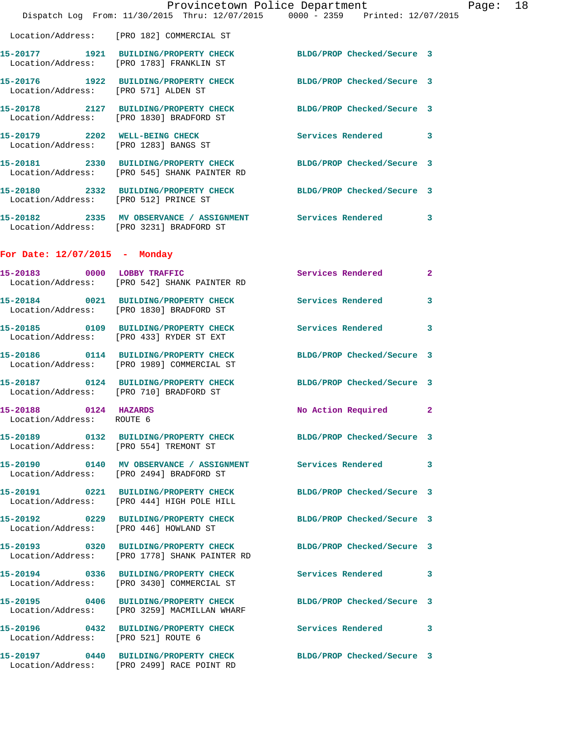|                                                    | Provincetown Police Department                                                                                    |                            |                |
|----------------------------------------------------|-------------------------------------------------------------------------------------------------------------------|----------------------------|----------------|
|                                                    | Dispatch Log From: 11/30/2015 Thru: 12/07/2015 0000 - 2359 Printed: 12/07/2015                                    |                            |                |
|                                                    | Location/Address: [PRO 182] COMMERCIAL ST                                                                         |                            |                |
|                                                    | 15-20177 1921 BUILDING/PROPERTY CHECK<br>Location/Address: [PRO 1783] FRANKLIN ST                                 | BLDG/PROP Checked/Secure 3 |                |
| Location/Address: [PRO 571] ALDEN ST               | 15-20176 1922 BUILDING/PROPERTY CHECK                                                                             | BLDG/PROP Checked/Secure 3 |                |
|                                                    | 15-20178 2127 BUILDING/PROPERTY CHECK<br>Location/Address: [PRO 1830] BRADFORD ST                                 | BLDG/PROP Checked/Secure 3 |                |
|                                                    | 15-20179 2202 WELL-BEING CHECK<br>Location/Address: [PRO 1283] BANGS ST                                           | <b>Services Rendered</b>   | 3              |
|                                                    | 15-20181 2330 BUILDING/PROPERTY CHECK BLDG/PROP Checked/Secure 3<br>Location/Address: [PRO 545] SHANK PAINTER RD  |                            |                |
|                                                    | 15-20180 2332 BUILDING/PROPERTY CHECK<br>Location/Address: [PRO 512] PRINCE ST                                    | BLDG/PROP Checked/Secure 3 |                |
|                                                    | 15-20182 2335 MV OBSERVANCE / ASSIGNMENT Services Rendered<br>Location/Address: [PRO 3231] BRADFORD ST            |                            | 3              |
| For Date: $12/07/2015$ - Monday                    |                                                                                                                   |                            |                |
|                                                    | 15-20183 0000 LOBBY TRAFFIC<br>Location/Address: [PRO 542] SHANK PAINTER RD                                       | Services Rendered          | $\mathbf{2}$   |
|                                                    | 15-20184 0021 BUILDING/PROPERTY CHECK<br>Location/Address: [PRO 1830] BRADFORD ST                                 | <b>Services Rendered</b>   | 3              |
|                                                    | 15-20185 0109 BUILDING/PROPERTY CHECK<br>Location/Address: [PRO 433] RYDER ST EXT                                 | Services Rendered          | 3              |
|                                                    | 15-20186 0114 BUILDING/PROPERTY CHECK<br>Location/Address: [PRO 1989] COMMERCIAL ST                               | BLDG/PROP Checked/Secure 3 |                |
|                                                    | 15-20187 0124 BUILDING/PROPERTY CHECK<br>Location/Address: [PRO 710] BRADFORD ST                                  | BLDG/PROP Checked/Secure 3 |                |
| 15-20188 0124 HAZARDS<br>Location/Address: ROUTE 6 |                                                                                                                   | No Action Required         | $\overline{2}$ |
|                                                    | 15-20189 0132 BUILDING/PROPERTY CHECK BLDG/PROP Checked/Secure 3<br>Location/Address: [PRO 554] TREMONT ST        |                            |                |
|                                                    | 15-20190  0140 MV OBSERVANCE / ASSIGNMENT Services Rendered<br>Location/Address: [PRO 2494] BRADFORD ST           |                            | 3              |
|                                                    | 15-20191 0221 BUILDING/PROPERTY CHECK BLDG/PROP Checked/Secure 3<br>Location/Address: [PRO 444] HIGH POLE HILL    |                            |                |
|                                                    | 15-20192 0229 BUILDING/PROPERTY CHECK BLDG/PROP Checked/Secure 3<br>Location/Address: [PRO 446] HOWLAND ST        |                            |                |
|                                                    | 15-20193 0320 BUILDING/PROPERTY CHECK BLDG/PROP Checked/Secure 3<br>Location/Address: [PRO 1778] SHANK PAINTER RD |                            |                |
|                                                    | 15-20194 0336 BUILDING/PROPERTY CHECK<br>Location/Address: [PRO 3430] COMMERCIAL ST                               | Services Rendered          | 3              |
|                                                    | 15-20195 0406 BUILDING/PROPERTY CHECK BLDG/PROP Checked/Secure 3<br>Location/Address: [PRO 3259] MACMILLAN WHARF  |                            |                |
| Location/Address: [PRO 521] ROUTE 6                | 15-20196 0432 BUILDING/PROPERTY CHECK Services Rendered                                                           |                            | 3              |
|                                                    | 15-20197 0440 BUILDING/PROPERTY CHECK<br>Location/Address: [PRO 2499] RACE POINT RD                               | BLDG/PROP Checked/Secure 3 |                |